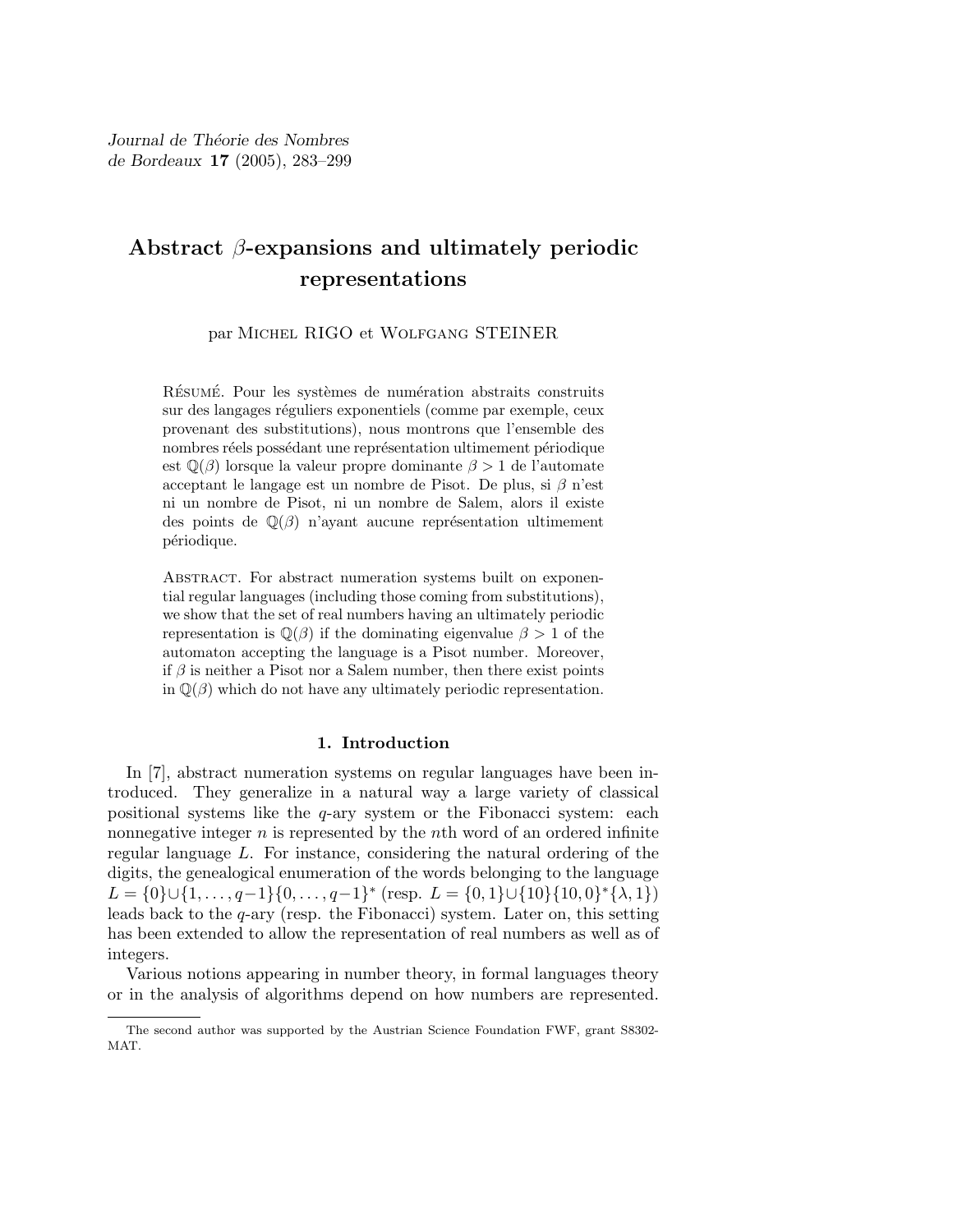# Abstract  $\beta$ -expansions and ultimately periodic representations

par Michel RIGO et Wolfgang STEINER

RÉSUMÉ. Pour les systèmes de numération abstraits construits sur des langages réguliers exponentiels (comme par exemple, ceux provenant des substitutions), nous montrons que l'ensemble des nombres réels possédant une représentation ultimement périodique est  $\mathbb{Q}(\beta)$  lorsque la valeur propre dominante  $\beta > 1$  de l'automate acceptant le langage est un nombre de Pisot. De plus, si  $\beta$  n'est ni un nombre de Pisot, ni un nombre de Salem, alors il existe des points de  $\mathbb{Q}(\beta)$  n'ayant aucune représentation ultimement périodique.

Abstract. For abstract numeration systems built on exponential regular languages (including those coming from substitutions), we show that the set of real numbers having an ultimately periodic representation is  $\mathbb{Q}(\beta)$  if the dominating eigenvalue  $\beta > 1$  of the automaton accepting the language is a Pisot number. Moreover, if  $\beta$  is neither a Pisot nor a Salem number, then there exist points in  $\mathbb{Q}(\beta)$  which do not have any ultimately periodic representation.

# 1. Introduction

In [7], abstract numeration systems on regular languages have been introduced. They generalize in a natural way a large variety of classical positional systems like the  $q$ -ary system or the Fibonacci system: each nonnegative integer  $n$  is represented by the nth word of an ordered infinite regular language L. For instance, considering the natural ordering of the digits, the genealogical enumeration of the words belonging to the language L = {0} $\cup$ {1,..., q-1}{0,..., q-1}<sup>\*</sup> (resp. L = {0, 1} $\cup$ {10}{10, 0}<sup>\*</sup>{ $\lambda$ , 1}) leads back to the q-ary (resp. the Fibonacci) system. Later on, this setting has been extended to allow the representation of real numbers as well as of integers.

Various notions appearing in number theory, in formal languages theory or in the analysis of algorithms depend on how numbers are represented.

The second author was supported by the Austrian Science Foundation FWF, grant S8302- MAT.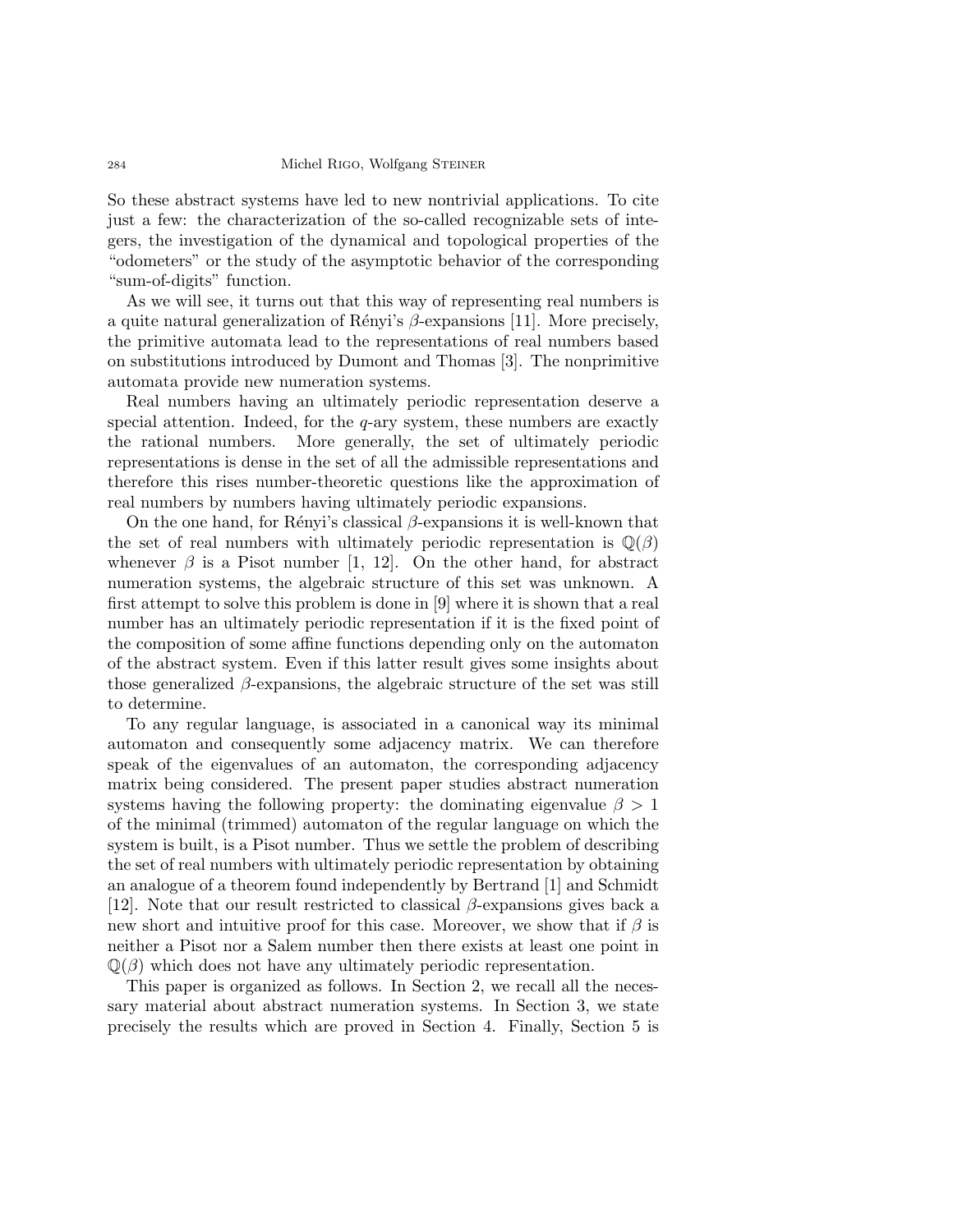So these abstract systems have led to new nontrivial applications. To cite just a few: the characterization of the so-called recognizable sets of integers, the investigation of the dynamical and topological properties of the "odometers" or the study of the asymptotic behavior of the corresponding "sum-of-digits" function.

As we will see, it turns out that this way of representing real numbers is a quite natural generalization of Rényi's  $\beta$ -expansions [11]. More precisely, the primitive automata lead to the representations of real numbers based on substitutions introduced by Dumont and Thomas [3]. The nonprimitive automata provide new numeration systems.

Real numbers having an ultimately periodic representation deserve a special attention. Indeed, for the  $q$ -ary system, these numbers are exactly the rational numbers. More generally, the set of ultimately periodic representations is dense in the set of all the admissible representations and therefore this rises number-theoretic questions like the approximation of real numbers by numbers having ultimately periodic expansions.

On the one hand, for Rényi's classical  $\beta$ -expansions it is well-known that the set of real numbers with ultimately periodic representation is  $\mathbb{Q}(\beta)$ whenever  $\beta$  is a Pisot number [1, 12]. On the other hand, for abstract numeration systems, the algebraic structure of this set was unknown. A first attempt to solve this problem is done in [9] where it is shown that a real number has an ultimately periodic representation if it is the fixed point of the composition of some affine functions depending only on the automaton of the abstract system. Even if this latter result gives some insights about those generalized  $\beta$ -expansions, the algebraic structure of the set was still to determine.

To any regular language, is associated in a canonical way its minimal automaton and consequently some adjacency matrix. We can therefore speak of the eigenvalues of an automaton, the corresponding adjacency matrix being considered. The present paper studies abstract numeration systems having the following property: the dominating eigenvalue  $\beta > 1$ of the minimal (trimmed) automaton of the regular language on which the system is built, is a Pisot number. Thus we settle the problem of describing the set of real numbers with ultimately periodic representation by obtaining an analogue of a theorem found independently by Bertrand [1] and Schmidt [12]. Note that our result restricted to classical  $\beta$ -expansions gives back a new short and intuitive proof for this case. Moreover, we show that if  $\beta$  is neither a Pisot nor a Salem number then there exists at least one point in  $\mathbb{Q}(\beta)$  which does not have any ultimately periodic representation.

This paper is organized as follows. In Section 2, we recall all the necessary material about abstract numeration systems. In Section 3, we state precisely the results which are proved in Section 4. Finally, Section 5 is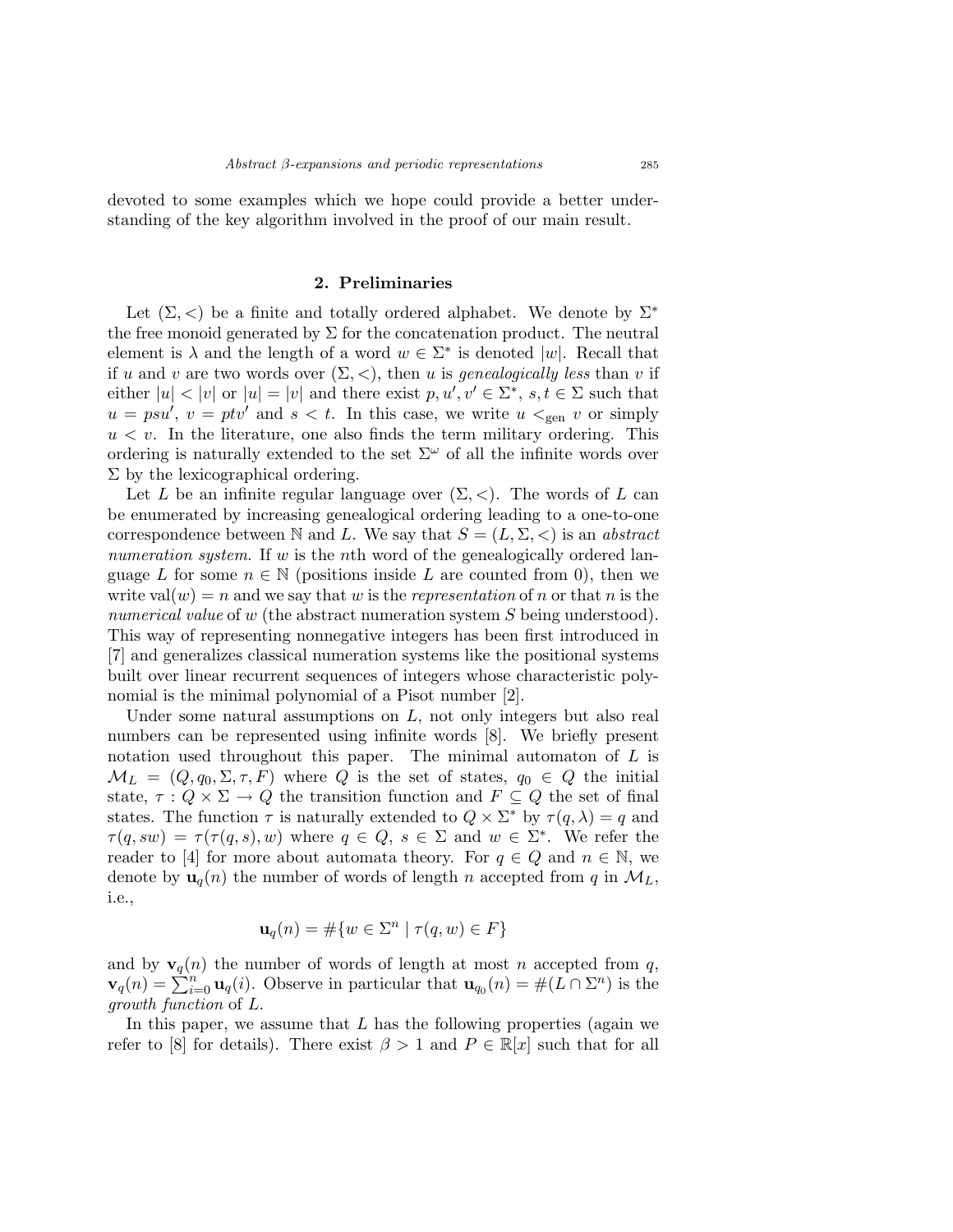devoted to some examples which we hope could provide a better understanding of the key algorithm involved in the proof of our main result.

# 2. Preliminaries

Let  $(\Sigma, <)$  be a finite and totally ordered alphabet. We denote by  $\Sigma^*$ the free monoid generated by  $\Sigma$  for the concatenation product. The neutral element is  $\lambda$  and the length of a word  $w \in \Sigma^*$  is denoted |w|. Recall that if u and v are two words over  $(\Sigma, <)$ , then u is *genealogically less* than v if either  $|u| < |v|$  or  $|u| = |v|$  and there exist  $p, u', v' \in \Sigma^*$ ,  $s, t \in \Sigma$  such that  $u = psu', v = ptv'$  and  $s < t$ . In this case, we write  $u <_{gen} v$  or simply  $u < v$ . In the literature, one also finds the term military ordering. This ordering is naturally extended to the set  $\Sigma^{\omega}$  of all the infinite words over  $\Sigma$  by the lexicographical ordering.

Let L be an infinite regular language over  $(\Sigma, <)$ . The words of L can be enumerated by increasing genealogical ordering leading to a one-to-one correspondence between N and L. We say that  $S = (L, \Sigma, <)$  is an abstract numeration system. If w is the nth word of the genealogically ordered language L for some  $n \in \mathbb{N}$  (positions inside L are counted from 0), then we write val $(w) = n$  and we say that w is the *representation* of n or that n is the numerical value of w (the abstract numeration system S being understood). This way of representing nonnegative integers has been first introduced in [7] and generalizes classical numeration systems like the positional systems built over linear recurrent sequences of integers whose characteristic polynomial is the minimal polynomial of a Pisot number [2].

Under some natural assumptions on  $L$ , not only integers but also real numbers can be represented using infinite words [8]. We briefly present notation used throughout this paper. The minimal automaton of  $L$  is  $\mathcal{M}_L = (Q, q_0, \Sigma, \tau, F)$  where Q is the set of states,  $q_0 \in Q$  the initial state,  $\tau : Q \times \Sigma \to Q$  the transition function and  $F \subseteq Q$  the set of final states. The function  $\tau$  is naturally extended to  $Q \times \Sigma^*$  by  $\tau(q, \lambda) = q$  and  $\tau(q,sw) = \tau(\tau(q,s),w)$  where  $q \in Q, s \in \Sigma$  and  $w \in \Sigma^*$ . We refer the reader to [4] for more about automata theory. For  $q \in Q$  and  $n \in \mathbb{N}$ , we denote by  $\mathbf{u}_q(n)$  the number of words of length n accepted from q in  $\mathcal{M}_L$ , i.e.,

$$
\mathbf{u}_q(n) = \#\{w \in \Sigma^n \mid \tau(q, w) \in F\}
$$

and by  $\mathbf{v}_q(n)$  the number of words of length at most n accepted from q,  $\mathbf{v}_q(n) = \sum_{i=0}^{n} \mathbf{u}_q(i)$ . Observe in particular that  $\mathbf{u}_{q_0}(n) = \#(L \cap \Sigma^n)$  is the growth function of L.

In this paper, we assume that  $L$  has the following properties (again we refer to [8] for details). There exist  $\beta > 1$  and  $P \in \mathbb{R}[x]$  such that for all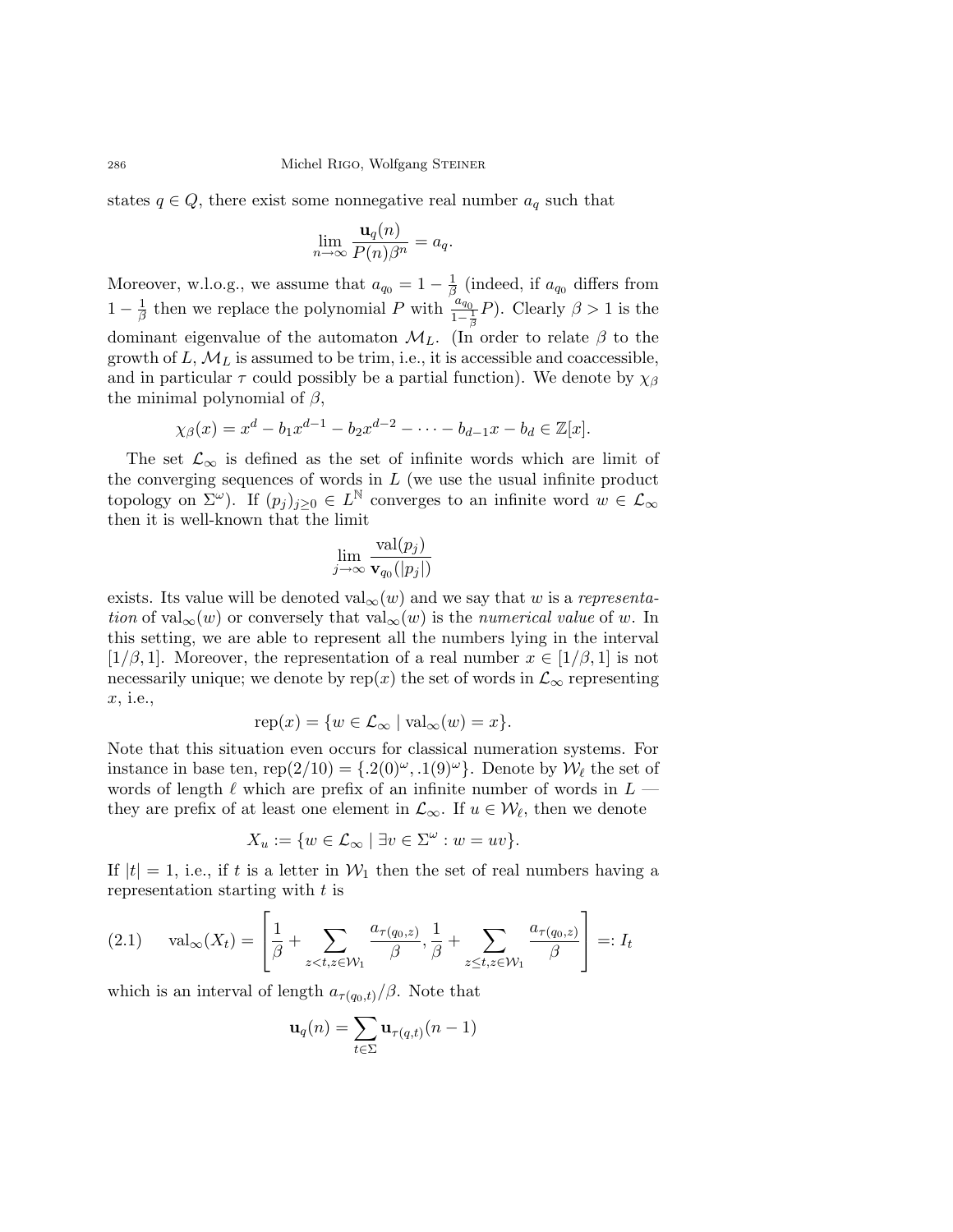states  $q \in Q$ , there exist some nonnegative real number  $a_q$  such that

$$
\lim_{n \to \infty} \frac{\mathbf{u}_q(n)}{P(n)\beta^n} = a_q.
$$

Moreover, w.l.o.g., we assume that  $a_{q_0} = 1 - \frac{1}{\beta}$  $\frac{1}{\beta}$  (indeed, if  $a_{q_0}$  differs from  $1-\frac{1}{6}$  $\frac{1}{\beta}$  then we replace the polynomial P with  $\frac{a_{q_0}}{1-\frac{1}{\beta}}P$ ). Clearly  $\beta > 1$  is the dominant eigenvalue of the automaton  $\mathcal{M}_L$ . (In order to relate  $\beta$  to the growth of  $L, \mathcal{M}_L$  is assumed to be trim, i.e., it is accessible and coaccessible, and in particular  $\tau$  could possibly be a partial function). We denote by  $\chi_{\beta}$ the minimal polynomial of  $\beta$ ,

$$
\chi_{\beta}(x) = x^d - b_1 x^{d-1} - b_2 x^{d-2} - \dots - b_{d-1} x - b_d \in \mathbb{Z}[x].
$$

The set  $\mathcal{L}_{\infty}$  is defined as the set of infinite words which are limit of the converging sequences of words in  $L$  (we use the usual infinite product topology on  $\Sigma^{\omega}$ ). If  $(p_j)_{j\geq 0} \in L^{\mathbb{N}}$  converges to an infinite word  $w \in \mathcal{L}_{\infty}$ then it is well-known that the limit

$$
\lim_{j\to\infty}\frac{\operatorname{val}(p_j)}{\mathbf{v}_{q_0}(|p_j|)}
$$

exists. Its value will be denoted val<sub>∞</sub> $(w)$  and we say that w is a representation of val<sub>∞</sub>(w) or conversely that val<sub>∞</sub>(w) is the numerical value of w. In this setting, we are able to represent all the numbers lying in the interval [ $1/\beta$ , 1]. Moreover, the representation of a real number  $x \in [1/\beta, 1]$  is not necessarily unique; we denote by rep(x) the set of words in  $\mathcal{L}_{\infty}$  representing x, i.e.,

$$
rep(x) = \{ w \in \mathcal{L}_{\infty} \mid val_{\infty}(w) = x \}.
$$

Note that this situation even occurs for classical numeration systems. For instance in base ten, rep(2/10) = { $.2(0)^\omega$ ,  $.1(9)^\omega$ }. Denote by  $\mathcal{W}_\ell$  the set of words of length  $\ell$  which are prefix of an infinite number of words in  $L$  they are prefix of at least one element in  $\mathcal{L}_{\infty}$ . If  $u \in \mathcal{W}_{\ell}$ , then we denote

$$
X_u := \{ w \in \mathcal{L}_{\infty} \mid \exists v \in \Sigma^{\omega} : w = uv \}.
$$

If  $|t| = 1$ , i.e., if t is a letter in  $\mathcal{W}_1$  then the set of real numbers having a representation starting with t is

$$
(2.1) \quad \text{val}_{\infty}(X_t) = \left[\frac{1}{\beta} + \sum_{z < t, z \in \mathcal{W}_1} \frac{a_{\tau(q_0, z)}}{\beta}, \frac{1}{\beta} + \sum_{z \leq t, z \in \mathcal{W}_1} \frac{a_{\tau(q_0, z)}}{\beta}\right] =: I_t
$$

which is an interval of length  $a_{\tau(q_0,t)}/\beta$ . Note that

$$
\mathbf{u}_q(n) = \sum_{t \in \Sigma} \mathbf{u}_{\tau(q,t)}(n-1)
$$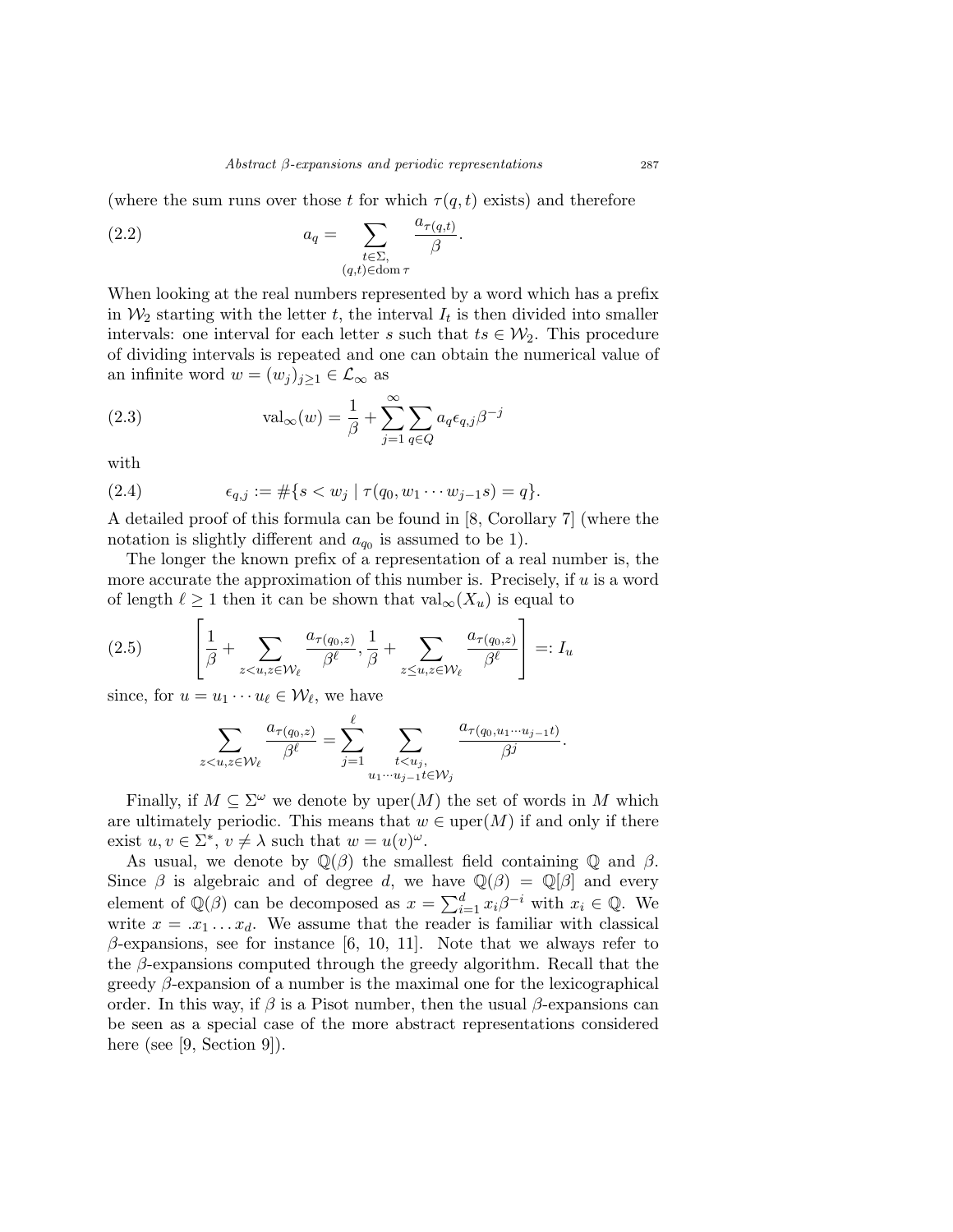(where the sum runs over those t for which  $\tau(q,t)$  exists) and therefore

(2.2) 
$$
a_q = \sum_{\substack{t \in \Sigma, \\ (q,t) \in \text{dom } \tau}} \frac{a_{\tau(q,t)}}{\beta}.
$$

When looking at the real numbers represented by a word which has a prefix in  $\mathcal{W}_2$  starting with the letter t, the interval  $I_t$  is then divided into smaller intervals: one interval for each letter s such that  $ts \in \mathcal{W}_2$ . This procedure of dividing intervals is repeated and one can obtain the numerical value of an infinite word  $w = (w_j)_{j\geq 1} \in \mathcal{L}_{\infty}$  as

(2.3) 
$$
\text{val}_{\infty}(w) = \frac{1}{\beta} + \sum_{j=1}^{\infty} \sum_{q \in Q} a_q \epsilon_{q,j} \beta^{-j}
$$

with

(2.4) 
$$
\epsilon_{q,j} := \#\{s < w_j \mid \tau(q_0, w_1 \cdots w_{j-1} s) = q\}.
$$

A detailed proof of this formula can be found in [8, Corollary 7] (where the notation is slightly different and  $a_{q_0}$  is assumed to be 1).

The longer the known prefix of a representation of a real number is, the more accurate the approximation of this number is. Precisely, if  $u$  is a word of length  $\ell \geq 1$  then it can be shown that  $val_{\infty}(X_u)$  is equal to

$$
(2.5) \qquad \left[\frac{1}{\beta} + \sum_{z < u, z \in \mathcal{W}_{\ell}} \frac{a_{\tau(q_0, z)}}{\beta^{\ell}}, \frac{1}{\beta} + \sum_{z \leq u, z \in \mathcal{W}_{\ell}} \frac{a_{\tau(q_0, z)}}{\beta^{\ell}}\right] =: I_u
$$

since, for  $u = u_1 \cdots u_\ell \in \mathcal{W}_\ell$ , we have

$$
\sum_{z
$$

Finally, if  $M \subseteq \Sigma^{\omega}$  we denote by uper $(M)$  the set of words in M which are ultimately periodic. This means that  $w \in \text{uper}(M)$  if and only if there exist  $u, v \in \Sigma^*$ ,  $v \neq \lambda$  such that  $w = u(v)^\omega$ .

As usual, we denote by  $\mathbb{Q}(\beta)$  the smallest field containing  $\mathbb{Q}$  and  $\beta$ . Since  $\beta$  is algebraic and of degree d, we have  $\mathbb{Q}(\beta) = \mathbb{Q}[\beta]$  and every element of  $\mathbb{Q}(\beta)$  can be decomposed as  $x = \sum_{i=1}^{d} x_i \beta^{-i}$  with  $x_i \in \mathbb{Q}$ . We write  $x = .x_1 \dots x_d$ . We assume that the reader is familiar with classical  $\beta$ -expansions, see for instance [6, 10, 11]. Note that we always refer to the  $\beta$ -expansions computed through the greedy algorithm. Recall that the greedy  $\beta$ -expansion of a number is the maximal one for the lexicographical order. In this way, if  $\beta$  is a Pisot number, then the usual  $\beta$ -expansions can be seen as a special case of the more abstract representations considered here (see [9, Section 9]).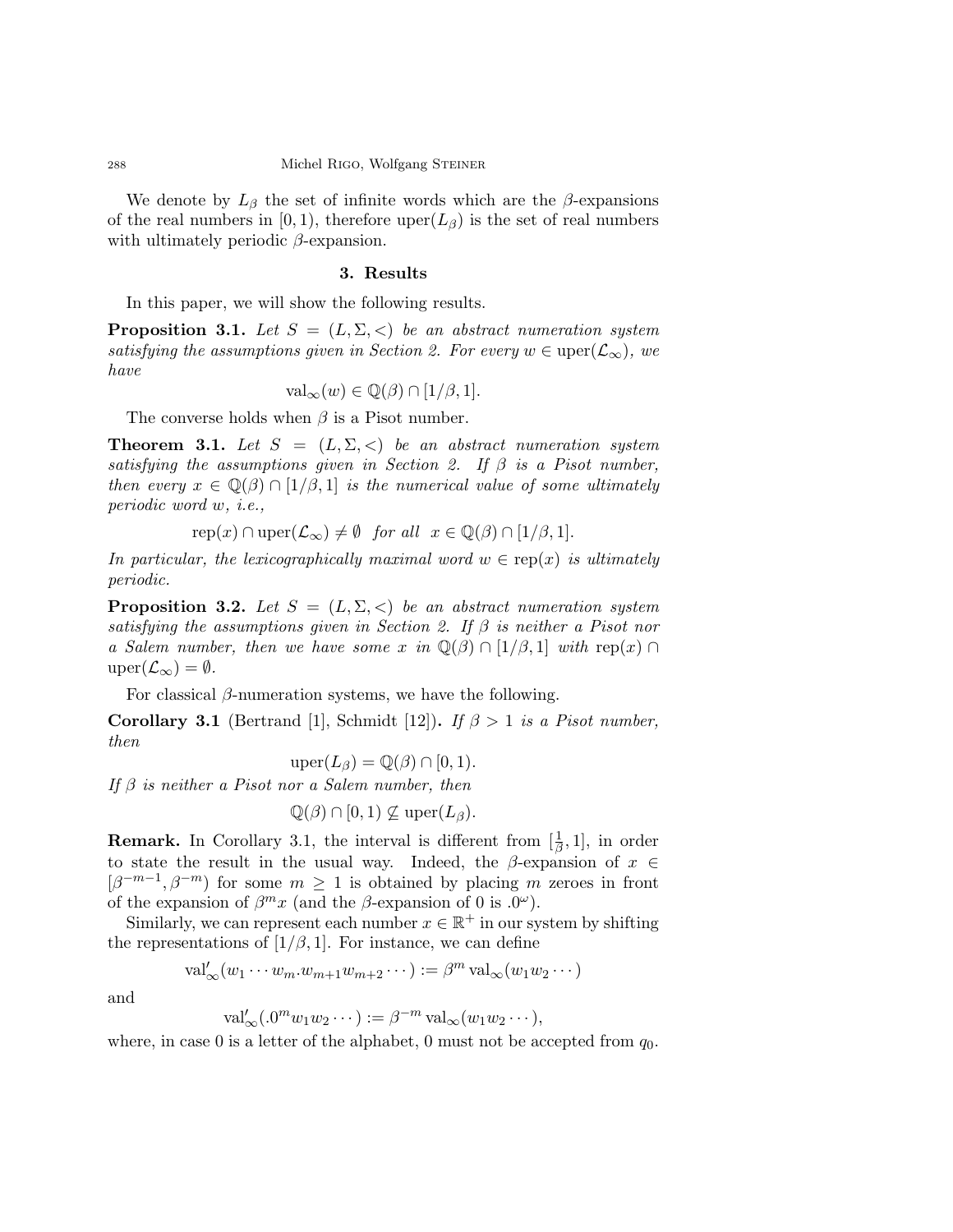We denote by  $L_\beta$  the set of infinite words which are the  $\beta$ -expansions of the real numbers in [0, 1], therefore uper $(L_\beta)$  is the set of real numbers with ultimately periodic  $\beta$ -expansion.

### 3. Results

In this paper, we will show the following results.

**Proposition 3.1.** Let  $S = (L, \Sigma, <)$  be an abstract numeration system satisfying the assumptions given in Section 2. For every  $w \in \text{uper}(\mathcal{L}_{\infty})$ , we have

$$
\text{val}_{\infty}(w) \in \mathbb{Q}(\beta) \cap [1/\beta, 1].
$$

The converse holds when  $\beta$  is a Pisot number.

**Theorem 3.1.** Let  $S = (L, \Sigma, <)$  be an abstract numeration system satisfying the assumptions given in Section 2. If  $\beta$  is a Pisot number, then every  $x \in \mathbb{Q}(\beta) \cap [1/\beta, 1]$  is the numerical value of some ultimately periodic word w, i.e.,

$$
rep(x) \cap upper(\mathcal{L}_{\infty}) \neq \emptyset \quad for all  $x \in \mathbb{Q}(\beta) \cap [1/\beta, 1].$
$$

In particular, the lexicographically maximal word  $w \in \text{rep}(x)$  is ultimately periodic.

**Proposition 3.2.** Let  $S = (L, \Sigma, <)$  be an abstract numeration system satisfying the assumptions given in Section 2. If  $\beta$  is neither a Pisot nor a Salem number, then we have some x in  $\mathbb{Q}(\beta) \cap [1/\beta, 1]$  with rep(x)  $\cap$  $\text{uper}(\mathcal{L}_{\infty}) = \emptyset.$ 

For classical  $\beta$ -numeration systems, we have the following.

**Corollary 3.1** (Bertrand [1], Schmidt [12]). If  $\beta > 1$  is a Pisot number, then

$$
\text{uper}(L_{\beta}) = \mathbb{Q}(\beta) \cap [0, 1).
$$

If  $\beta$  is neither a Pisot nor a Salem number, then

$$
\mathbb{Q}(\beta) \cap [0,1) \nsubseteq \text{uper}(L_{\beta}).
$$

**Remark.** In Corollary 3.1, the interval is different from  $[\frac{1}{\beta}, 1]$ , in order to state the result in the usual way. Indeed, the  $\beta$ -expansion of  $x \in$  $[\beta^{-m-1}, \beta^{-m}]$  for some  $m \geq 1$  is obtained by placing m zeroes in front of the expansion of  $\beta^m x$  (and the  $\beta$ -expansion of 0 is .0<sup> $\omega$ </sup>).

Similarly, we can represent each number  $x \in \mathbb{R}^+$  in our system by shifting the representations of  $[1/\beta, 1]$ . For instance, we can define

$$
\mathrm{val}'_{\infty}(w_1\cdots w_m.w_{m+1}w_{m+2}\cdots):=\beta^m \,\mathrm{val}_{\infty}(w_1w_2\cdots)
$$

and

 $\overline{I}$ 

$$
\mathrm{val}'_{\infty}(.0^m w_1 w_2 \cdots) := \beta^{-m} \mathrm{val}_{\infty}(w_1 w_2 \cdots),
$$

where, in case 0 is a letter of the alphabet, 0 must not be accepted from  $q_0$ .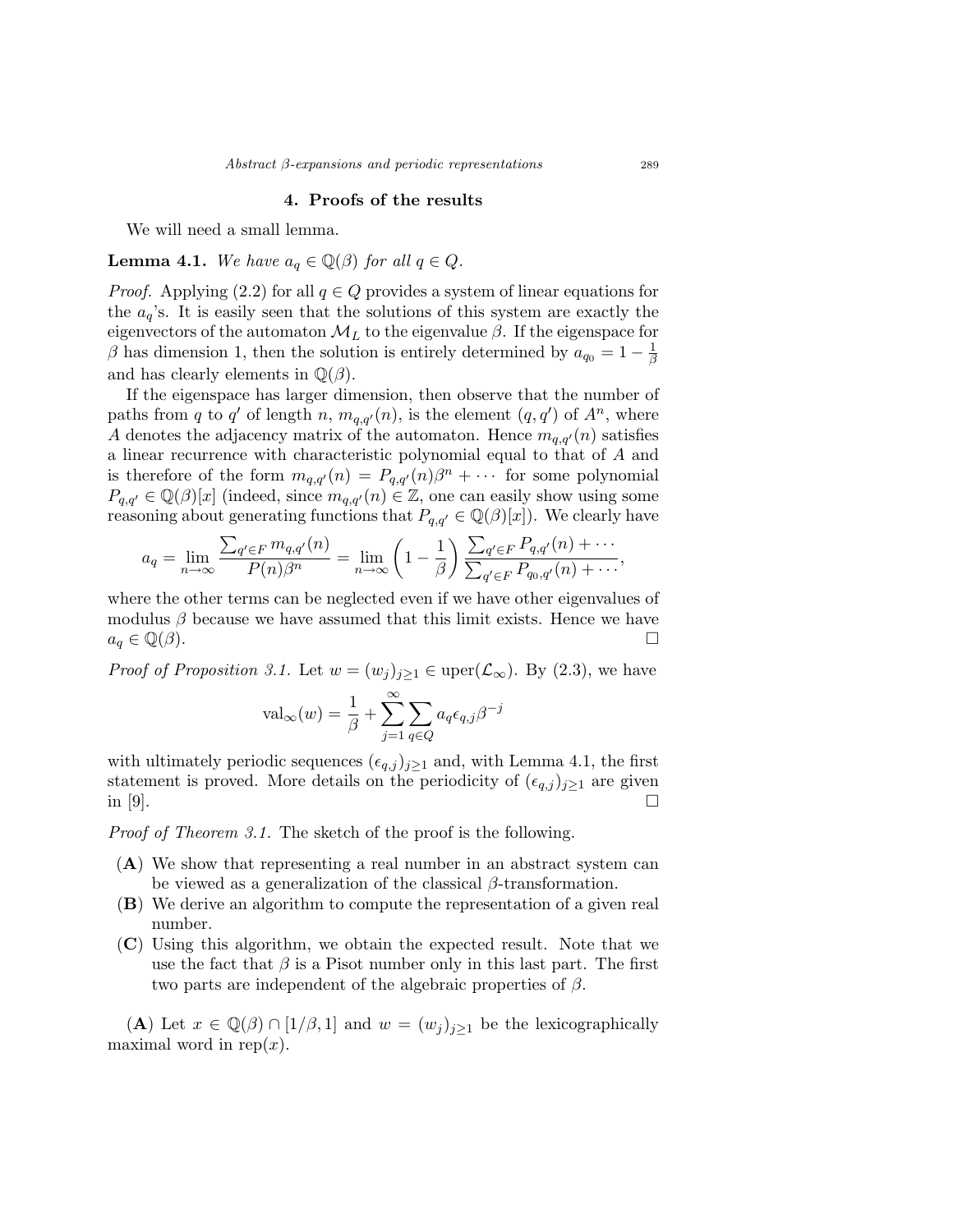#### 4. Proofs of the results

We will need a small lemma.

**Lemma 4.1.** We have  $a_q \in \mathbb{Q}(\beta)$  for all  $q \in Q$ .

*Proof.* Applying (2.2) for all  $q \in Q$  provides a system of linear equations for the  $a_q$ 's. It is easily seen that the solutions of this system are exactly the eigenvectors of the automaton  $\mathcal{M}_L$  to the eigenvalue  $\beta$ . If the eigenspace for β has dimension 1, then the solution is entirely determined by  $a_{q_0} = 1 - \frac{1}{\beta}$ β and has clearly elements in  $\mathbb{Q}(\beta)$ .

If the eigenspace has larger dimension, then observe that the number of paths from q to q' of length n,  $m_{q,q'}(n)$ , is the element  $(q, q')$  of  $A^n$ , where A denotes the adjacency matrix of the automaton. Hence  $m_{q,q'}(n)$  satisfies a linear recurrence with characteristic polynomial equal to that of A and is therefore of the form  $m_{q,q'}(n) = P_{q,q'}(n)\beta^n + \cdots$  for some polynomial  $P_{q,q'} \in \mathbb{Q}(\beta)[x]$  (indeed, since  $m_{q,q'}(n) \in \mathbb{Z}$ , one can easily show using some reasoning about generating functions that  $P_{q,q'} \in \mathbb{Q}(\beta)[x]$ . We clearly have

$$
a_q = \lim_{n \to \infty} \frac{\sum_{q' \in F} m_{q,q'}(n)}{P(n)\beta^n} = \lim_{n \to \infty} \left(1 - \frac{1}{\beta}\right) \frac{\sum_{q' \in F} P_{q,q'}(n) + \cdots}{\sum_{q' \in F} P_{q_0,q'}(n) + \cdots},
$$

where the other terms can be neglected even if we have other eigenvalues of modulus  $\beta$  because we have assumed that this limit exists. Hence we have  $a_q \in \mathbb{Q}(\beta).$ 

*Proof of Proposition 3.1.* Let  $w = (w_j)_{j\geq 1} \in \text{uper}(\mathcal{L}_{\infty})$ . By (2.3), we have

$$
\text{val}_{\infty}(w) = \frac{1}{\beta} + \sum_{j=1}^{\infty} \sum_{q \in Q} a_q \epsilon_{q,j} \beta^{-j}
$$

with ultimately periodic sequences  $(\epsilon_{q,j})_{j\geq1}$  and, with Lemma 4.1, the first statement is proved. More details on the periodicity of  $(\epsilon_{q,j})_{j\geq 1}$  are given in [9].

Proof of Theorem 3.1. The sketch of the proof is the following.

- (A) We show that representing a real number in an abstract system can be viewed as a generalization of the classical  $\beta$ -transformation.
- (B) We derive an algorithm to compute the representation of a given real number.
- (C) Using this algorithm, we obtain the expected result. Note that we use the fact that  $\beta$  is a Pisot number only in this last part. The first two parts are independent of the algebraic properties of  $\beta$ .

(A) Let  $x \in \mathbb{Q}(\beta) \cap [1/\beta, 1]$  and  $w = (w_j)_{j \geq 1}$  be the lexicographically maximal word in rep $(x)$ .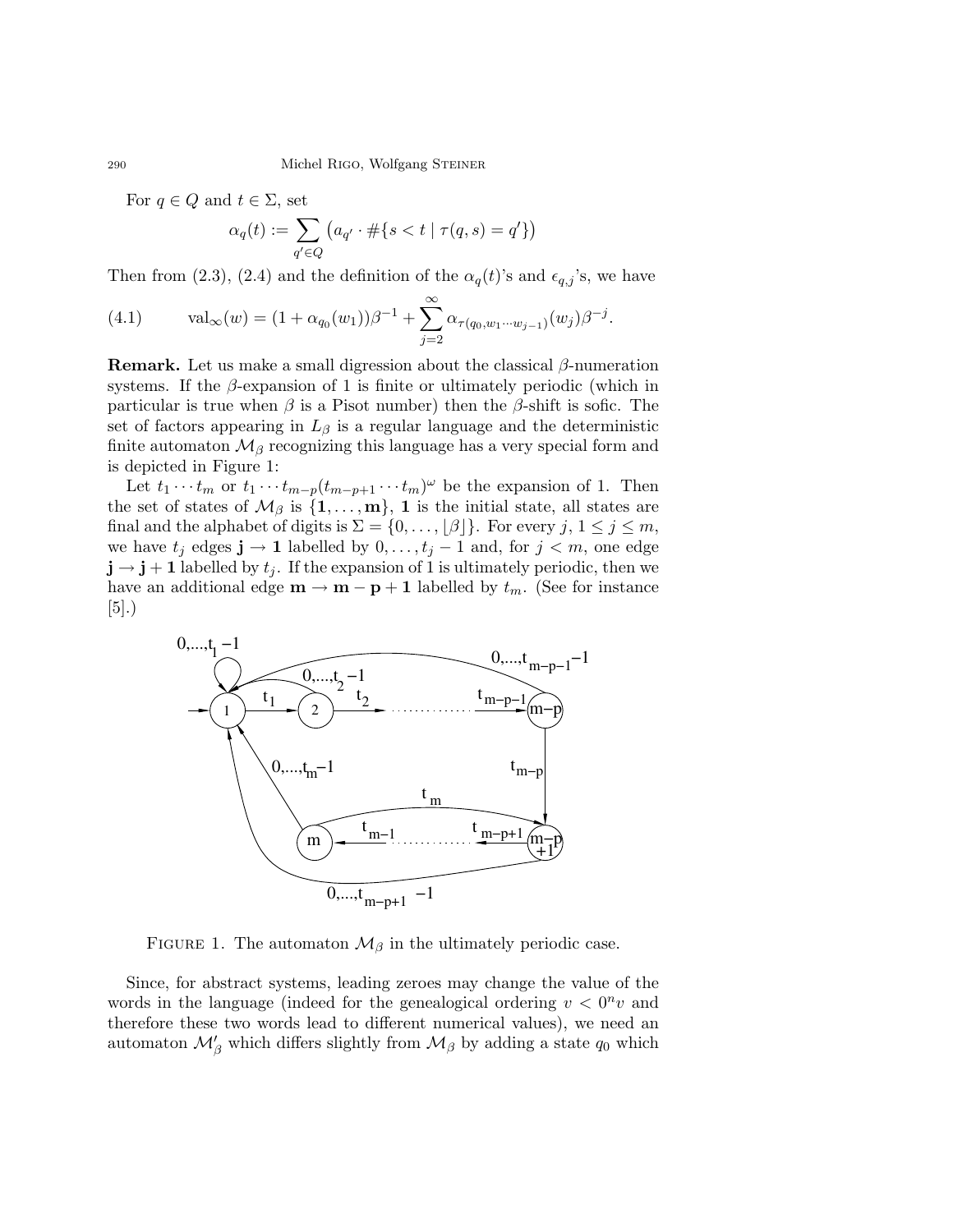For  $q \in Q$  and  $t \in \Sigma$ , set

$$
\alpha_q(t):=\sum_{q'\in Q}\left(a_{q'}\cdot\#\{s
$$

Then from (2.3), (2.4) and the definition of the  $\alpha_q(t)$ 's and  $\epsilon_{q,j}$ 's, we have

(4.1) 
$$
\text{val}_{\infty}(w) = (1 + \alpha_{q_0}(w_1))\beta^{-1} + \sum_{j=2}^{\infty} \alpha_{\tau(q_0, w_1 \cdots w_{j-1})}(w_j)\beta^{-j}.
$$

**Remark.** Let us make a small digression about the classical  $\beta$ -numeration systems. If the  $\beta$ -expansion of 1 is finite or ultimately periodic (which in particular is true when  $\beta$  is a Pisot number) then the  $\beta$ -shift is sofic. The set of factors appearing in  $L_\beta$  is a regular language and the deterministic finite automaton  $\mathcal{M}_{\beta}$  recognizing this language has a very special form and is depicted in Figure 1:

Let  $t_1 \cdots t_m$  or  $t_1 \cdots t_{m-p}(t_{m-p+1} \cdots t_m)^\omega$  be the expansion of 1. Then the set of states of  $\mathcal{M}_{\beta}$  is  $\{1, \ldots, m\}$ , 1 is the initial state, all states are final and the alphabet of digits is  $\Sigma = \{0, \ldots, |\beta|\}$ . For every  $j, 1 \le j \le m$ , we have  $t_j$  edges  $\mathbf{j} \to \mathbf{1}$  labelled by  $0, \ldots, t_j - 1$  and, for  $j < m$ , one edge  $\mathbf{j} \rightarrow \mathbf{j} + \mathbf{1}$  labelled by  $t_j$ . If the expansion of 1 is ultimately periodic, then we have an additional edge  $\mathbf{m} \to \mathbf{m} - \mathbf{p} + \mathbf{1}$  labelled by  $t_m$ . (See for instance  $|5|$ .)



FIGURE 1. The automaton  $\mathcal{M}_{\beta}$  in the ultimately periodic case.

Since, for abstract systems, leading zeroes may change the value of the words in the language (indeed for the genealogical ordering  $v < 0<sup>n</sup> v$  and therefore these two words lead to different numerical values), we need an automaton  $\mathcal{M}'_{\beta}$  which differs slightly from  $\mathcal{M}_{\beta}$  by adding a state  $q_0$  which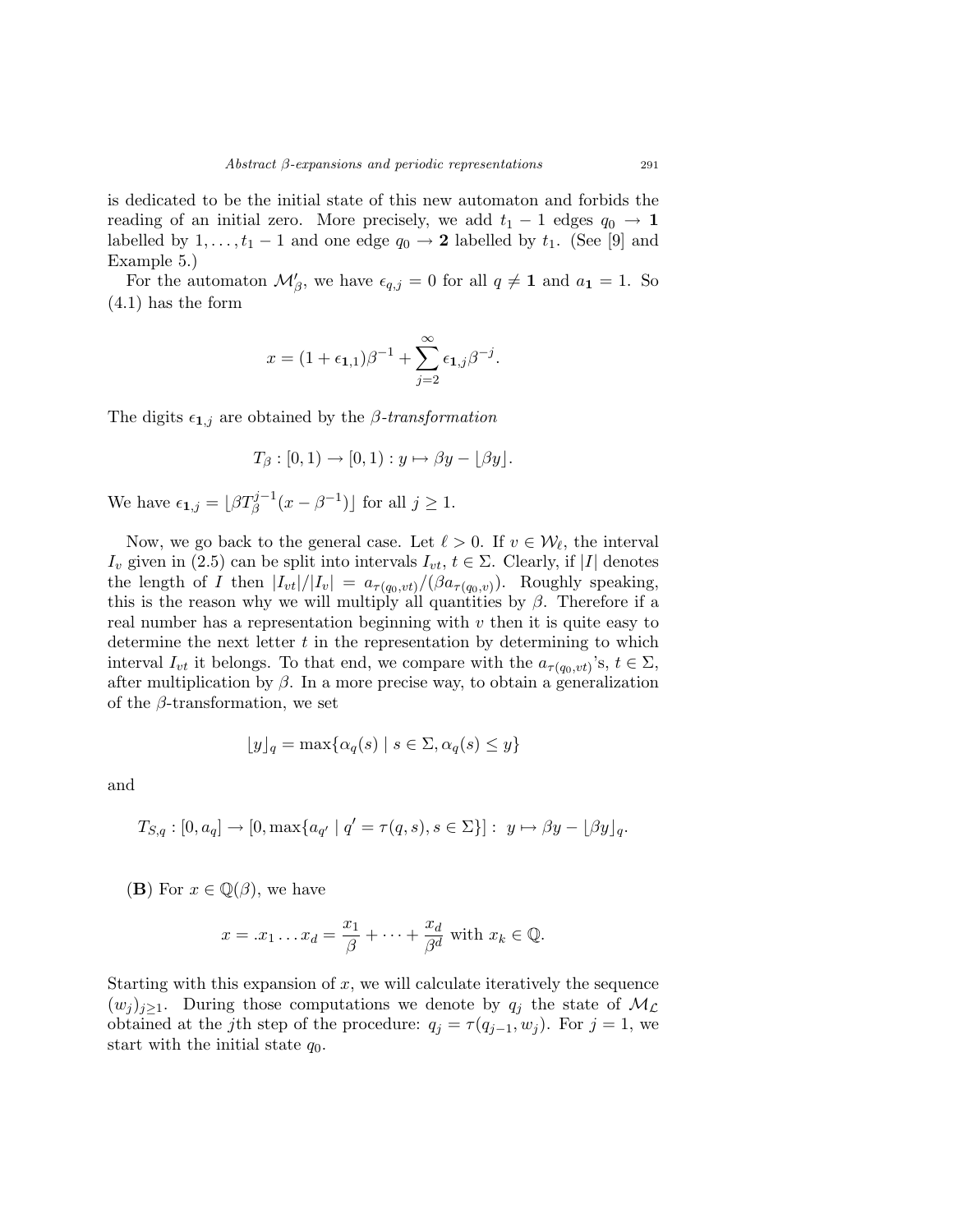is dedicated to be the initial state of this new automaton and forbids the reading of an initial zero. More precisely, we add  $t_1 - 1$  edges  $q_0 \rightarrow 1$ labelled by  $1, \ldots, t_1 - 1$  and one edge  $q_0 \rightarrow 2$  labelled by  $t_1$ . (See [9] and Example 5.)

For the automaton  $\mathcal{M}'_{\beta}$ , we have  $\epsilon_{q,j} = 0$  for all  $q \neq 1$  and  $a_1 = 1$ . So (4.1) has the form

$$
x = (1 + \epsilon_{1,1})\beta^{-1} + \sum_{j=2}^{\infty} \epsilon_{1,j}\beta^{-j}.
$$

The digits  $\epsilon_{1,j}$  are obtained by the  $\beta$ -transformation

$$
T_{\beta}:[0,1)\to[0,1):y\mapsto \beta y-\lfloor \beta y\rfloor.
$$

We have  $\epsilon_{1,j} = \lfloor \beta T_{\beta}^{j-1}(x - \beta^{-1}) \rfloor$  for all  $j \ge 1$ .

Now, we go back to the general case. Let  $\ell > 0$ . If  $v \in \mathcal{W}_{\ell}$ , the interval  $I_v$  given in (2.5) can be split into intervals  $I_{vt}$ ,  $t \in \Sigma$ . Clearly, if |I| denotes the length of I then  $|I_{vt}|/|I_v| = a_{\tau(q_0, vt)}/(\beta a_{\tau(q_0, v)})$ . Roughly speaking, this is the reason why we will multiply all quantities by  $\beta$ . Therefore if a real number has a representation beginning with  $v$  then it is quite easy to determine the next letter  $t$  in the representation by determining to which interval  $I_{vt}$  it belongs. To that end, we compare with the  $a_{\tau(q_0, vt)}$ 's,  $t \in \Sigma$ , after multiplication by  $\beta$ . In a more precise way, to obtain a generalization of the  $\beta$ -transformation, we set

$$
\lfloor y \rfloor_q = \max\{\alpha_q(s) \mid s \in \Sigma, \alpha_q(s) \le y\}
$$

and

$$
T_{S,q}: [0, a_q] \to [0, \max\{a_{q'} \mid q' = \tau(q, s), s \in \Sigma\}]: y \mapsto \beta y - \lfloor \beta y \rfloor_q.
$$

(**B**) For  $x \in \mathbb{Q}(\beta)$ , we have

$$
x = .x_1 \dots x_d = \frac{x_1}{\beta} + \dots + \frac{x_d}{\beta^d} \text{ with } x_k \in \mathbb{Q}.
$$

Starting with this expansion of  $x$ , we will calculate iteratively the sequence  $(w_j)_{j\geq 1}$ . During those computations we denote by  $q_j$  the state of  $\mathcal{M}_{\mathcal{L}}$ obtained at the j<sup>th</sup> step of the procedure:  $q_j = \tau(q_{j-1}, w_j)$ . For  $j = 1$ , we start with the initial state  $q_0$ .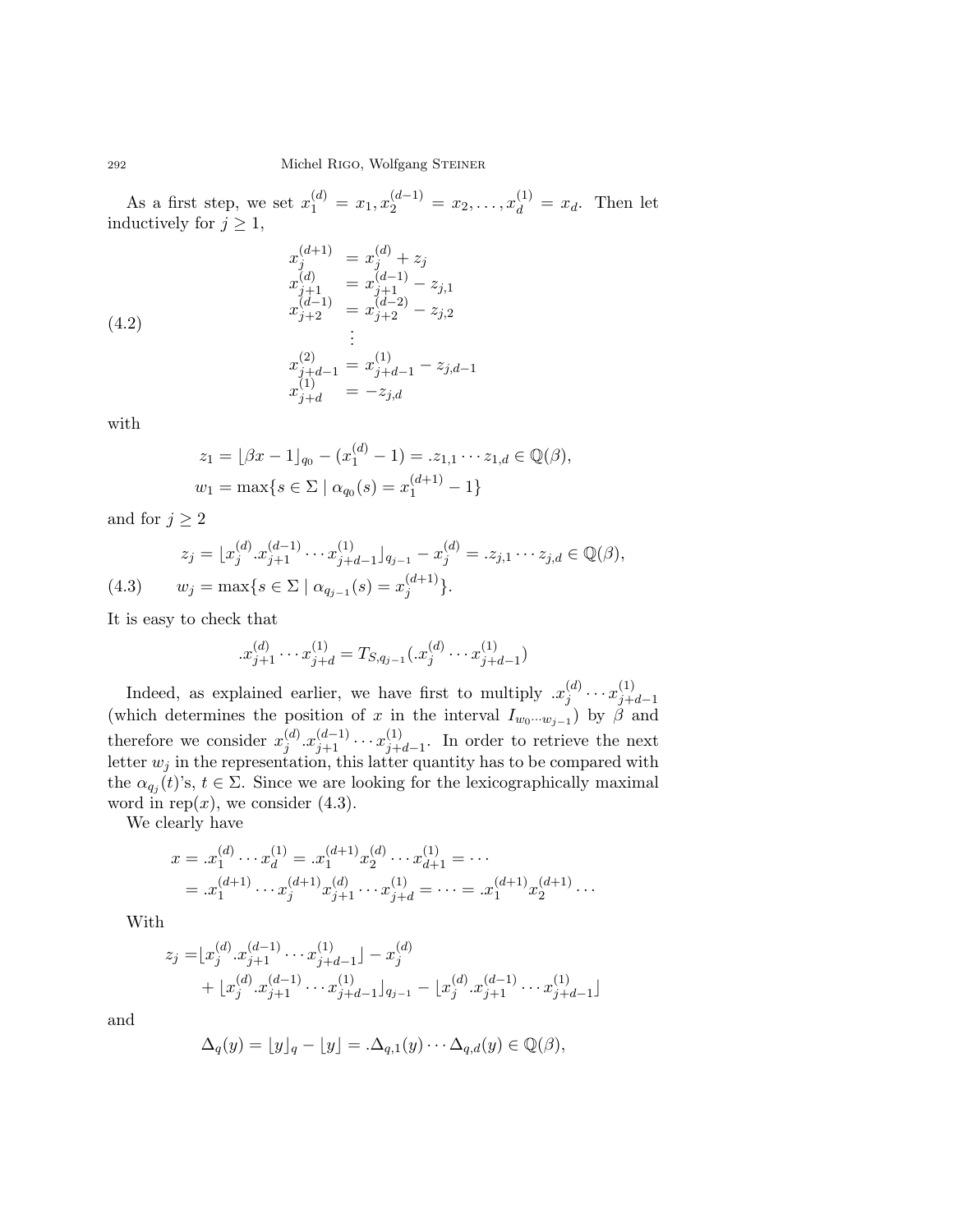As a first step, we set  $x_1^{(d)} = x_1, x_2^{(d-1)} = x_2, \ldots, x_d^{(1)} = x_d$ . Then let inductively for  $j \geq 1$ ,

$$
x_j^{(d+1)} = x_j^{(d)} + z_j
$$
  
\n
$$
x_{j+1}^{(d)} = x_{j+1}^{(d-1)} - z_{j,1}
$$
  
\n
$$
x_{j+2}^{(d-1)} = x_{j+2}^{(d-2)} - z_{j,2}
$$
  
\n
$$
\vdots
$$
  
\n
$$
x_{j+d-1}^{(2)} = x_{j+d-1}^{(1)} - z_{j,d-1}
$$
  
\n
$$
x_{j+d}^{(1)} = -z_{j,d}
$$

with

$$
z_1 = \lfloor \beta x - 1 \rfloor_{q_0} - (x_1^{(d)} - 1) = z_{1,1} \cdots z_{1,d} \in \mathbb{Q}(\beta),
$$
  

$$
w_1 = \max\{s \in \Sigma \mid \alpha_{q_0}(s) = x_1^{(d+1)} - 1\}
$$

and for  $j \geq 2$ 

$$
z_j = \lfloor x_j^{(d)} \cdot x_{j+1}^{(d-1)} \cdots x_{j+d-1}^{(1)} \rfloor_{q_{j-1}} - x_j^{(d)} = z_{j,1} \cdots z_{j,d} \in \mathbb{Q}(\beta),
$$
  
(4.3) 
$$
w_j = \max\{s \in \Sigma \mid \alpha_{q_{j-1}}(s) = x_j^{(d+1)}\}.
$$

It is easy to check that

$$
x_{j+1}^{(d)} \cdots x_{j+d}^{(1)} = T_{S,q_{j-1}}(x_j^{(d)} \cdots x_{j+d-1}^{(1)})
$$

Indeed, as explained earlier, we have first to multiply  $x_i^{(d)}$  $\binom{d}{j} \cdots x_{j+1}^{(1)}$  $j+d-1$ (which determines the position of x in the interval  $I_{w_0\cdots w_{j-1}}$ ) by  $\beta$  and therefore we consider  $x_i^{(d)}$  $j^{(d)}_{j} . x_{j+1}^{(d-1)} \cdots x_{j+1}^{(1)}$  $j+d-1$ . In order to retrieve the next letter  $w_j$  in the representation, this latter quantity has to be compared with the  $\alpha_{q_j}(t)$ 's,  $t \in \Sigma$ . Since we are looking for the lexicographically maximal word in rep $(x)$ , we consider  $(4.3)$ .

We clearly have

$$
x = .x_1^{(d)} \cdots x_d^{(1)} = .x_1^{(d+1)} x_2^{(d)} \cdots x_{d+1}^{(1)} = \cdots
$$
  
= .x\_1^{(d+1)} \cdots x\_j^{(d+1)} x\_{j+1}^{(d)} \cdots x\_{j+d}^{(1)} = \cdots = .x\_1^{(d+1)} x\_2^{(d+1)} \cdots

With

$$
z_j = [x_j^{(d)} \cdot x_{j+1}^{(d-1)} \cdots x_{j+d-1}^{(1)}] - x_j^{(d)}
$$
  
+ 
$$
[x_j^{(d)} \cdot x_{j+1}^{(d-1)} \cdots x_{j+d-1}^{(1)}]_{q_{j-1}} - [x_j^{(d)} \cdot x_{j+1}^{(d-1)} \cdots x_{j+d-1}^{(1)}]
$$

and

$$
\Delta_q(y) = \lfloor y \rfloor_q - \lfloor y \rfloor = .\Delta_{q,1}(y) \cdots \Delta_{q,d}(y) \in \mathbb{Q}(\beta),
$$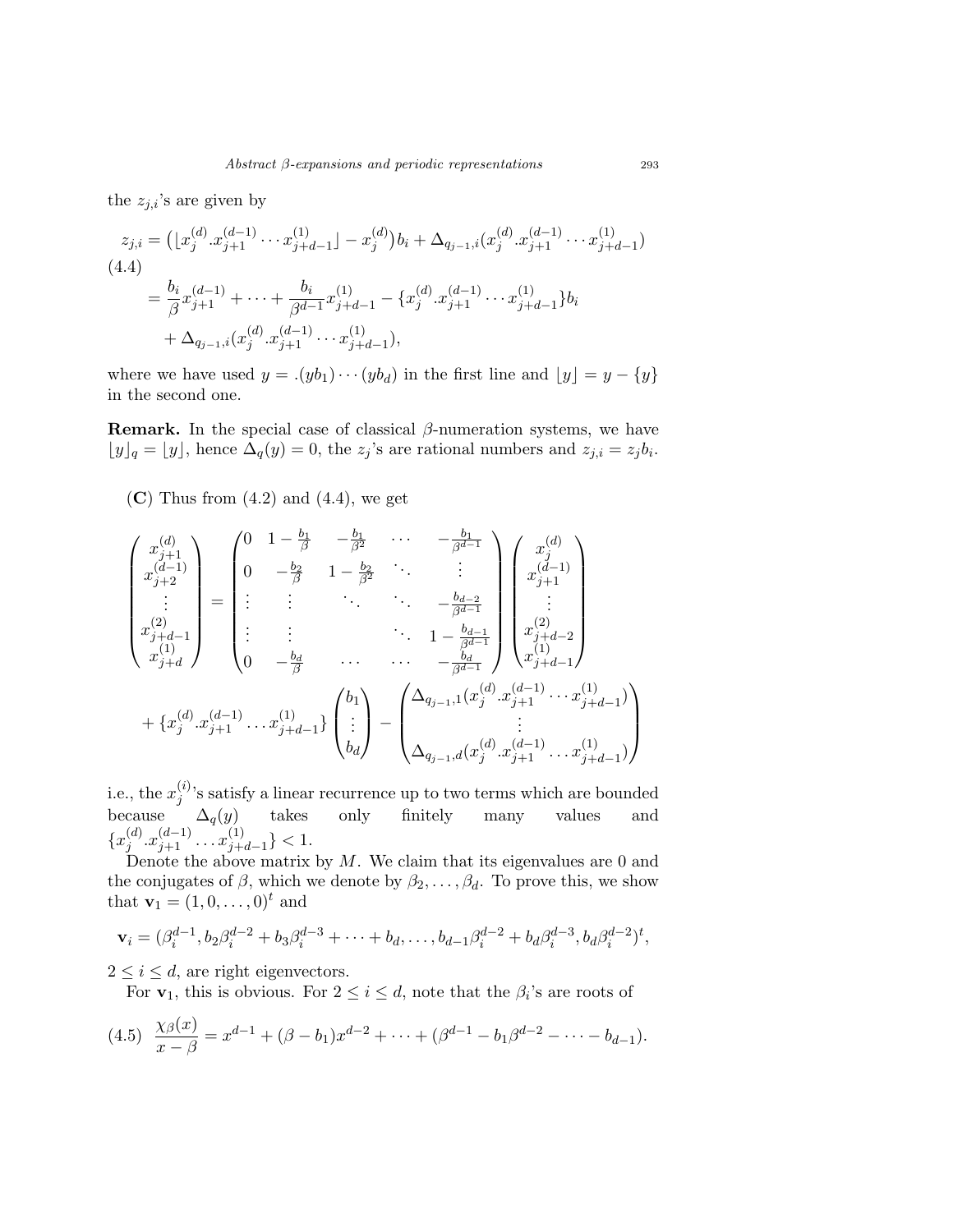the  $z_{j,i}$ 's are given by

$$
z_{j,i} = ( [x_j^{(d)} \cdot x_{j+1}^{(d-1)} \cdots x_{j+d-1}^{(1)}] - x_j^{(d)} ) b_i + \Delta_{q_{j-1},i} (x_j^{(d)} \cdot x_{j+1}^{(d-1)} \cdots x_{j+d-1}^{(1)})
$$
  
(4.4)  

$$
= \frac{b_i}{\beta} x_{j+1}^{(d-1)} + \cdots + \frac{b_i}{\beta^{d-1}} x_{j+d-1}^{(1)} - \{ x_j^{(d)} \cdot x_{j+1}^{(d-1)} \cdots x_{j+d-1}^{(1)} \} b_i
$$

$$
+ \Delta_{q_{j-1},i} (x_j^{(d)} \cdot x_{j+1}^{(d-1)} \cdots x_{j+d-1}^{(1)}),
$$

where we have used  $y = .(yb_1)\cdots (yb_d)$  in the first line and  $\lfloor y \rfloor = y - \{y\}$ in the second one.

**Remark.** In the special case of classical  $\beta$ -numeration systems, we have  $\lfloor y \rfloor_q = \lfloor y \rfloor$ , hence  $\Delta_q(y) = 0$ , the  $z_j$ 's are rational numbers and  $z_{j,i} = z_j b_i$ .

 $(C)$  Thus from  $(4.2)$  and  $(4.4)$ , we get

$$
\begin{pmatrix}\nx_{j+1}^{(d)} \\
x_{j+2}^{(d-1)} \\
\vdots \\
x_{j+d}^{(2)}\n\end{pmatrix} = \begin{pmatrix}\n0 & 1 - \frac{b_1}{\beta} & -\frac{b_1}{\beta^2} & \cdots & -\frac{b_1}{\beta^{d-1}} \\
0 & -\frac{b_2}{\beta} & 1 - \frac{b_2}{\beta^2} & \vdots \\
\vdots & \vdots & \ddots & \vdots \\
x_{j+d-1}^{(2)}\n\end{pmatrix} \begin{pmatrix}\nx_j^{(d)} \\
x_{j+1}^{(d-1)} \\
\vdots \\
x_{j+d}^{(2)}\n\end{pmatrix}
$$
\n
$$
+ \{x_j^{(d)} \cdot x_{j+1}^{(d-1)} \cdot \ldots x_{j+d-1}^{(1)}\} \begin{pmatrix}\nb_1 \\
\vdots \\
b_d\n\end{pmatrix} - \begin{pmatrix}\n\Delta_{q_{j-1},1}(x_j^{(d)} \cdot x_{j+1}^{(d-1)} \cdot \ldots x_{j+d-1}^{(1)}) \\
\vdots \\
\Delta_{q_{j-1},d}(x_j^{(d)} \cdot x_{j+1}^{(d-1)} \cdot \ldots x_{j+d-1}^{(1)})\n\end{pmatrix}
$$

i.e., the  $x_i^{(i)}$  $j^{(i)}$ 's satisfy a linear recurrence up to two terms which are bounded because  $\Delta_q(y)$  takes only finitely many values and  $\{x_i^{(d)}\}$  $j^{(d)} \cdot x_{j+1}^{(d-1)} \cdot \cdot \cdot x_{j+1}^{(1)}$  $\binom{11}{j+d-1} < 1.$ 

Denote the above matrix by  $M$ . We claim that its eigenvalues are 0 and the conjugates of  $\beta$ , which we denote by  $\beta_2, \ldots, \beta_d$ . To prove this, we show that  $\mathbf{v}_1 = (1, 0, \dots, 0)^t$  and

$$
\mathbf{v}_i = (\beta_i^{d-1}, b_2 \beta_i^{d-2} + b_3 \beta_i^{d-3} + \dots + b_d, \dots, b_{d-1} \beta_i^{d-2} + b_d \beta_i^{d-3}, b_d \beta_i^{d-2})^t,
$$

 $2 \leq i \leq d$ , are right eigenvectors.

For  $v_1$ , this is obvious. For  $2 \le i \le d$ , note that the  $\beta_i$ 's are roots of

$$
(4.5) \frac{\chi_{\beta}(x)}{x-\beta} = x^{d-1} + (\beta - b_1)x^{d-2} + \dots + (\beta^{d-1} - b_1\beta^{d-2} - \dots - b_{d-1}).
$$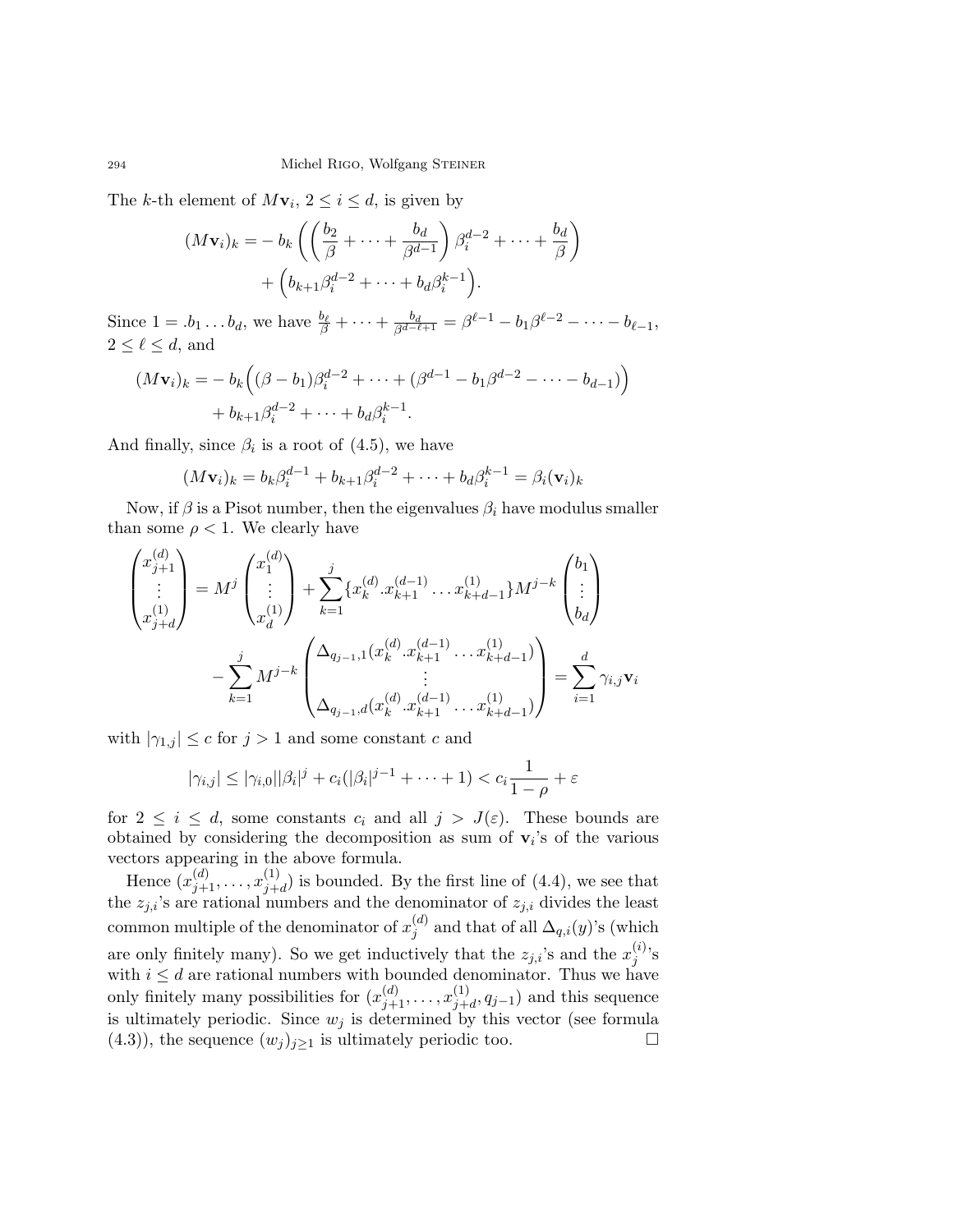The k-th element of  $M\mathbf{v}_i, 2 \leq i \leq d$ , is given by

$$
(M\mathbf{v}_i)_k = -b_k \left( \left( \frac{b_2}{\beta} + \dots + \frac{b_d}{\beta^{d-1}} \right) \beta_i^{d-2} + \dots + \frac{b_d}{\beta} \right) + \left( b_{k+1} \beta_i^{d-2} + \dots + b_d \beta_i^{k-1} \right).
$$

Since  $1 = .b_1 \ldots b_d$ , we have  $\frac{b_\ell}{\beta} + \cdots + \frac{b_d}{\beta^{d-\ell+1}} = \beta^{\ell-1} - b_1 \beta^{\ell-2} - \cdots - b_{\ell-1}$ ,  $2 \leq \ell \leq d$ , and

$$
(M\mathbf{v}_i)_k = -b_k ((\beta - b_1)\beta_i^{d-2} + \dots + (\beta^{d-1} - b_1\beta^{d-2} - \dots - b_{d-1}))
$$
  
+  $b_{k+1}\beta_i^{d-2} + \dots + b_d\beta_i^{k-1}$ .

And finally, since  $\beta_i$  is a root of  $(4.5)$ , we have

$$
(M\mathbf{v}_i)_k = b_k \beta_i^{d-1} + b_{k+1} \beta_i^{d-2} + \dots + b_d \beta_i^{k-1} = \beta_i(\mathbf{v}_i)_k
$$

Now, if  $\beta$  is a Pisot number, then the eigenvalues  $\beta_i$  have modulus smaller than some  $\rho < 1$ . We clearly have

$$
\begin{pmatrix} x_{j+1}^{(d)} \\ \vdots \\ x_{j+d}^{(1)} \end{pmatrix} = M^j \begin{pmatrix} x_1^{(d)} \\ \vdots \\ x_d^{(1)} \end{pmatrix} + \sum_{k=1}^j \{ x_k^{(d)} \cdot x_{k+1}^{(d-1)} \cdot \cdot \cdot x_{k+d-1}^{(1)} \} M^{j-k} \begin{pmatrix} b_1 \\ \vdots \\ b_d \end{pmatrix}
$$

$$
- \sum_{k=1}^j M^{j-k} \begin{pmatrix} \Delta_{q_{j-1},1} (x_k^{(d)} \cdot x_{k+1}^{(d-1)} \cdot \cdot \cdot x_{k+d-1}^{(1)}) \\ \vdots \\ \Delta_{q_{j-1},d} (x_k^{(d)} \cdot x_{k+1}^{(d-1)} \cdot \cdot \cdot x_{k+d-1}^{(1)}) \end{pmatrix} = \sum_{i=1}^d \gamma_{i,j} \mathbf{v}_i
$$

with  $|\gamma_{1,j}| \leq c$  for  $j > 1$  and some constant c and

$$
|\gamma_{i,j}| \leq |\gamma_{i,0}||\beta_i|^j + c_i(|\beta_i|^{j-1} + \cdots + 1) < c_i \frac{1}{1-\rho} + \varepsilon
$$

for  $2 \leq i \leq d$ , some constants  $c_i$  and all  $j > J(\varepsilon)$ . These bounds are obtained by considering the decomposition as sum of  $v_i$ 's of the various vectors appearing in the above formula.

Hence  $(x_{j+1}^{(d)}, \ldots, x_{j+1}^{(1)})$  $j+d$  is bounded. By the first line of  $(4.4)$ , we see that the  $z_{j,i}$ 's are rational numbers and the denominator of  $z_{j,i}$  divides the least common multiple of the denominator of  $x_i^{(d)}$  $j^{(a)}$  and that of all  $\Delta_{q,i}(y)$ 's (which are only finitely many). So we get inductively that the  $z_{j,i}$ 's and the  $x_j^{(i)}$  $j^{(i)}$ 's with  $i \leq d$  are rational numbers with bounded denominator. Thus we have only finitely many possibilities for  $(x_{j+1}^{(d)}, \ldots, x_{j+1}^{(1)})$  $j_{+d}^{(1)}, q_{j-1}$  and this sequence is ultimately periodic. Since  $w_j$  is determined by this vector (see formula (4.3)), the sequence  $(w_j)_{j\geq 1}$  is ultimately periodic too.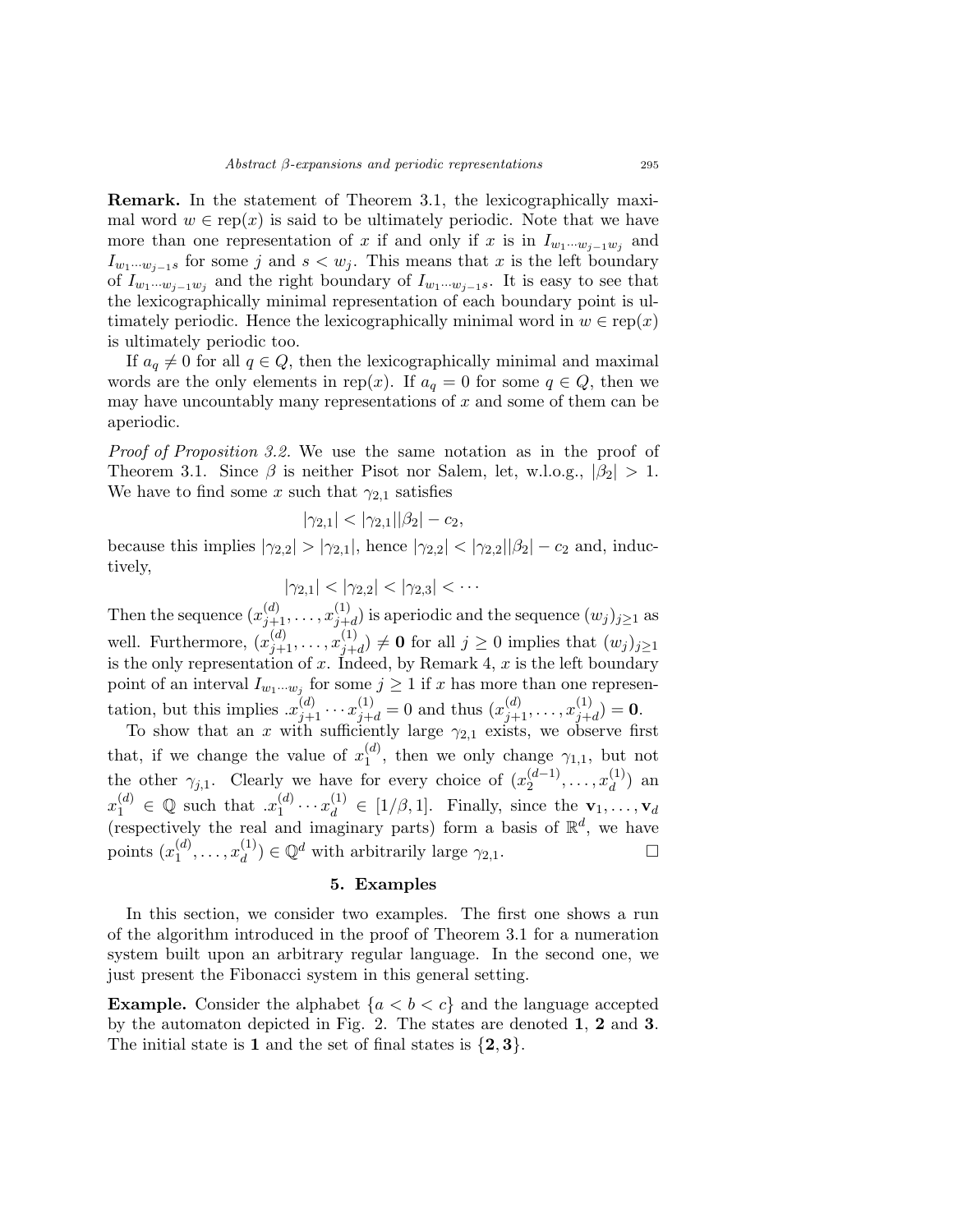Remark. In the statement of Theorem 3.1, the lexicographically maximal word  $w \in \text{rep}(x)$  is said to be ultimately periodic. Note that we have more than one representation of x if and only if x is in  $I_{w_1\cdots w_{j-1}w_j}$  and  $I_{w_1\cdots w_{i-1}s}$  for some j and  $s < w_j$ . This means that x is the left boundary of  $I_{w_1\cdots w_{j-1}w_j}$  and the right boundary of  $I_{w_1\cdots w_{j-1}s}$ . It is easy to see that the lexicographically minimal representation of each boundary point is ultimately periodic. Hence the lexicographically minimal word in  $w \in \text{rep}(x)$ is ultimately periodic too.

If  $a_q \neq 0$  for all  $q \in Q$ , then the lexicographically minimal and maximal words are the only elements in rep(x). If  $a_q = 0$  for some  $q \in Q$ , then we may have uncountably many representations of  $x$  and some of them can be aperiodic.

Proof of Proposition 3.2. We use the same notation as in the proof of Theorem 3.1. Since  $\beta$  is neither Pisot nor Salem, let, w.l.o.g.,  $|\beta_2| > 1$ . We have to find some x such that  $\gamma_{2,1}$  satisfies

$$
|\gamma_{2,1}| < |\gamma_{2,1}||\beta_2| - c_2,
$$

because this implies  $|\gamma_{2,2}| > |\gamma_{2,1}|$ , hence  $|\gamma_{2,2}| < |\gamma_{2,2}||\beta_2| - c_2$  and, inductively,

 $|\gamma_{2,1}| < |\gamma_{2,2}| < |\gamma_{2,3}| < \cdots$ 

Then the sequence  $(x_{j+1}^{(d)}, \ldots, x_{j+1}^{(1)})$  $j+d$ ) is aperiodic and the sequence  $(w_j)_{j\geq 1}$  as well. Furthermore,  $(x_{j+1}^{(d)}, \ldots, x_{j+1}^{(1)})$  $j+d(j) \neq 0$  for all  $j \geq 0$  implies that  $(w_j)_{j\geq 1}$ is the only representation of x. Indeed, by Remark 4, x is the left boundary point of an interval  $I_{w_1\cdots w_j}$  for some  $j\geq 1$  if x has more than one representation, but this implies  $x_{j+1}^{(d)} \cdots x_{j+d}^{(1)} = 0$  and thus  $(x_{j+1}^{(d)}, \ldots, x_{j+t}^{(1)})$  $j+d$  $) = 0.$ 

To show that an x with sufficiently large  $\gamma_{2,1}$  exists, we observe first that, if we change the value of  $x_1^{(d)}$ , then we only change  $\gamma_{1,1}$ , but not 1 the other  $\gamma_{j,1}$ . Clearly we have for every choice of  $(x_2^{(d-1)}$  $x_2^{(d-1)}, \ldots, x_d^{(1)}$  $\binom{1}{d}$  an  $x_1^{(d)} \in \mathbb{Q}$  such that  $x_1^{(d)}$  $\mathbf{y}_1^{(d)} \cdots \mathbf{x}_d^{(1)} \in [1/\beta, 1].$  Finally, since the  $\mathbf{v}_1, \ldots, \mathbf{v}_d$ (respectively the real and imaginary parts) form a basis of  $\mathbb{R}^d$ , we have points  $(x_1^{(d)}$  $x_1^{(d)}, \ldots, x_d^{(1)}$  $\mathbb{Q}_d^{(1)}$ )  $\in \mathbb{Q}^d$  with arbitrarily large  $\gamma_{2,1}$ .

## 5. Examples

In this section, we consider two examples. The first one shows a run of the algorithm introduced in the proof of Theorem 3.1 for a numeration system built upon an arbitrary regular language. In the second one, we just present the Fibonacci system in this general setting.

**Example.** Consider the alphabet  $\{a < b < c\}$  and the language accepted by the automaton depicted in Fig. 2. The states are denoted 1, 2 and 3. The initial state is 1 and the set of final states is  $\{2,3\}$ .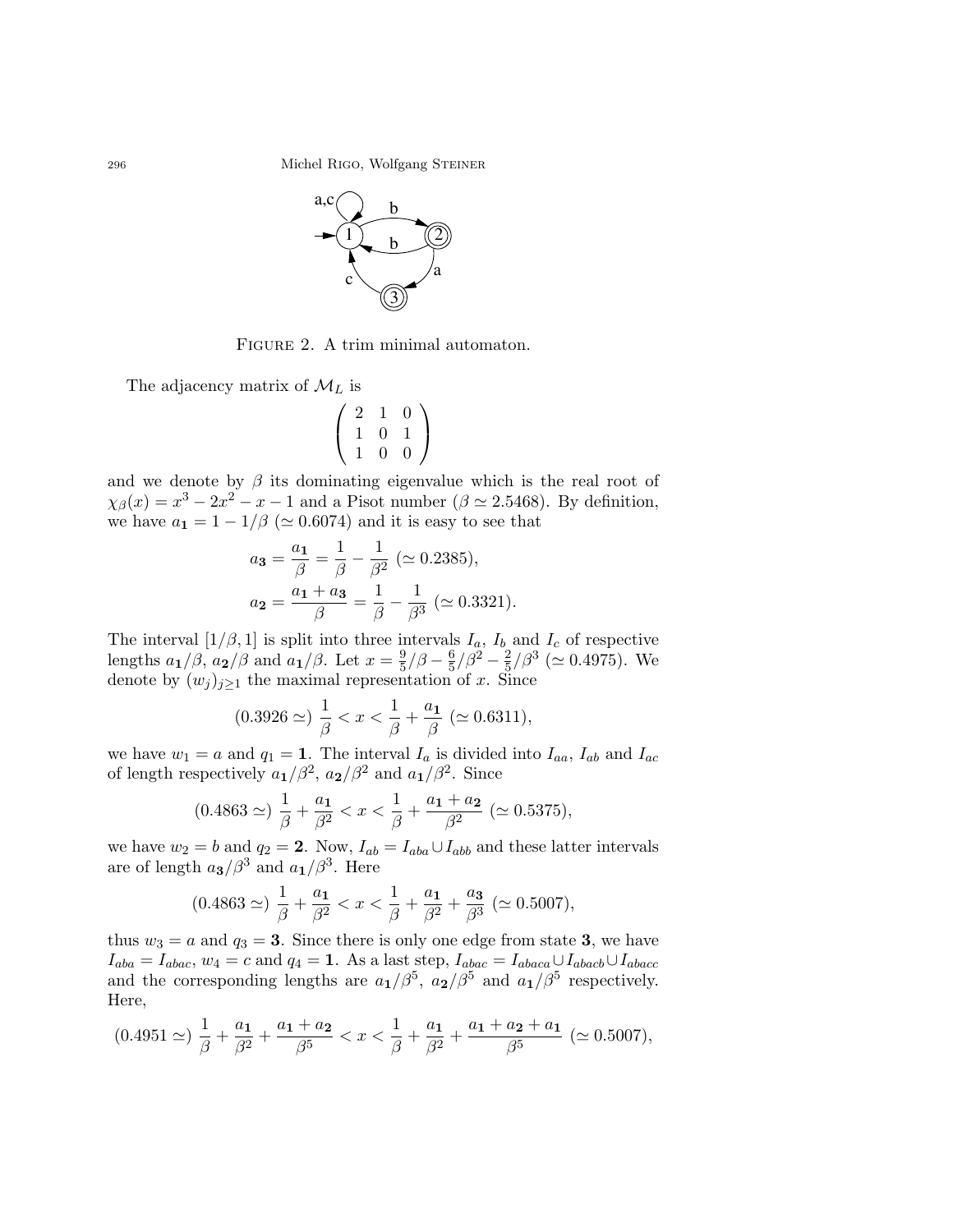296 Michel RIGO, Wolfgang STEINER



FIGURE 2. A trim minimal automaton.

The adjacency matrix of  $\mathcal{M}_L$  is

$$
\left(\begin{array}{ccc} 2 & 1 & 0 \\ 1 & 0 & 1 \\ 1 & 0 & 0 \end{array}\right)
$$

and we denote by  $\beta$  its dominating eigenvalue which is the real root of  $\chi_{\beta}(x) = x^3 - 2x^2 - x - 1$  and a Pisot number ( $\beta \simeq 2.5468$ ). By definition, we have  $a_1 = 1 - 1/\beta$  ( $\simeq 0.6074$ ) and it is easy to see that

$$
a_3 = \frac{a_1}{\beta} = \frac{1}{\beta} - \frac{1}{\beta^2} \ (\simeq 0.2385),
$$
  

$$
a_2 = \frac{a_1 + a_3}{\beta} = \frac{1}{\beta} - \frac{1}{\beta^3} \ (\simeq 0.3321).
$$

The interval  $[1/\beta, 1]$  is split into three intervals  $I_a$ ,  $I_b$  and  $I_c$  of respective lengths  $a_1/\beta$ ,  $a_2/\beta$  and  $a_1/\beta$ . Let  $x=\frac{9}{5}$  $\frac{9}{5}/\beta-\frac{6}{5}$  $\frac{6}{5}/\beta^2 - \frac{2}{5}$  $\frac{2}{5}/\beta^3 \ (\simeq 0.4975)$ . We denote by  $(w_j)_{j\geq 1}$  the maximal representation of x. Since

$$
(0.3926 \simeq) \frac{1}{\beta} < x < \frac{1}{\beta} + \frac{a_1}{\beta} \; (\simeq 0.6311),
$$

we have  $w_1 = a$  and  $q_1 = 1$ . The interval  $I_a$  is divided into  $I_{aa}$ ,  $I_{ab}$  and  $I_{ac}$ of length respectively  $a_1/\beta^2$ ,  $a_2/\beta^2$  and  $a_1/\beta^2$ . Since

$$
(0.4863 \simeq) \frac{1}{\beta} + \frac{a_1}{\beta^2} < x < \frac{1}{\beta} + \frac{a_1 + a_2}{\beta^2} \; (\simeq 0.5375),
$$

we have  $w_2 = b$  and  $q_2 = 2$ . Now,  $I_{ab} = I_{aba} \cup I_{abb}$  and these latter intervals are of length  $a_3/\beta^3$  and  $a_1/\beta^3$ . Here

$$
(0.4863 \simeq) \frac{1}{\beta} + \frac{a_1}{\beta^2} < x < \frac{1}{\beta} + \frac{a_1}{\beta^2} + \frac{a_3}{\beta^3} \; (\simeq 0.5007),
$$

thus  $w_3 = a$  and  $q_3 = 3$ . Since there is only one edge from state 3, we have  $I_{aba} = I_{abac}, w_4 = c$  and  $q_4 = 1$ . As a last step,  $I_{abac} = I_{abaca} \cup I_{abacb} \cup I_{abacc}$ and the corresponding lengths are  $a_1/\beta^5$ ,  $a_2/\beta^5$  and  $a_1/\beta^5$  respectively. Here,

$$
(0.4951 \simeq) \frac{1}{\beta} + \frac{a_1}{\beta^2} + \frac{a_1 + a_2}{\beta^5} < x < \frac{1}{\beta} + \frac{a_1}{\beta^2} + \frac{a_1 + a_2 + a_1}{\beta^5} \; (\simeq 0.5007),
$$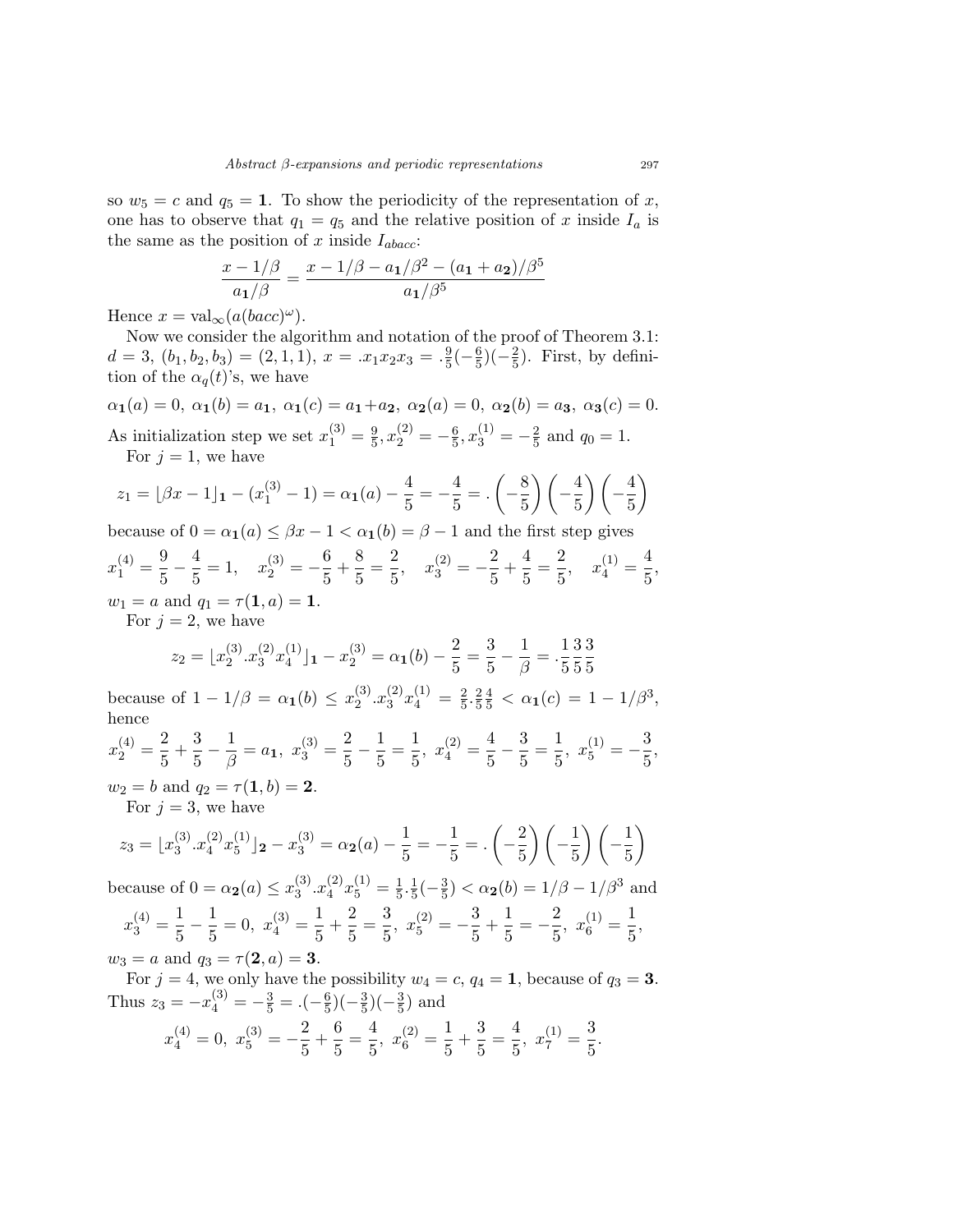so  $w_5 = c$  and  $q_5 = 1$ . To show the periodicity of the representation of x, one has to observe that  $q_1 = q_5$  and the relative position of x inside  $I_a$  is the same as the position of x inside  $I_{abc}$ :

$$
\frac{x - 1/\beta}{a_1/\beta} = \frac{x - 1/\beta - a_1/\beta^2 - (a_1 + a_2)/\beta^5}{a_1/\beta^5}
$$

Hence  $x = \text{val}_{\infty}(a(bacc)^{\omega}).$ 

Now we consider the algorithm and notation of the proof of Theorem 3.1:  $d = 3, (b_1, b_2, b_3) = (2, 1, 1), x = .x_1x_2x_3 = .\frac{9}{5}$  $\frac{9}{5}(-\frac{6}{5})$  $\frac{6}{5}$ )( $-\frac{2}{5}$  $(\frac{2}{5})$ . First, by definition of the  $\alpha_q(t)$ 's, we have

 $\alpha_1(a) = 0, \ \alpha_1(b) = a_1, \ \alpha_1(c) = a_1 + a_2, \ \alpha_2(a) = 0, \ \alpha_2(b) = a_3, \ \alpha_3(c) = 0.$ As initialization step we set  $x_1^{(3)} = \frac{9}{5}$  $\frac{9}{5}$ ,  $x_2^{(2)} = -\frac{6}{5}$  $\frac{6}{5}$ ,  $x_3^{(1)} = -\frac{2}{5}$  $rac{2}{5}$  and  $q_0 = 1$ . For  $j = 1$ , we have

$$
z_1 = \lfloor \beta x - 1 \rfloor_1 - (x_1^{(3)} - 1) = \alpha_1(a) - \frac{4}{5} = -\frac{4}{5} = \frac{4}{5} \cdot \left(-\frac{8}{5}\right) \left(-\frac{4}{5}\right) \left(-\frac{4}{5}\right)
$$

because of  $0 = \alpha_1(a) \leq \beta x - 1 < \alpha_1(b) = \beta - 1$  and the first step gives

$$
x_1^{(4)} = \frac{9}{5} - \frac{4}{5} = 1, \quad x_2^{(3)} = -\frac{6}{5} + \frac{8}{5} = \frac{2}{5}, \quad x_3^{(2)} = -\frac{2}{5} + \frac{4}{5} = \frac{2}{5}, \quad x_4^{(1)} = \frac{4}{5},
$$
  

$$
w_1 = a \text{ and } q_1 = \tau(1, a) = 1.
$$
  
For  $i = 2$ , we have

For  $j = 2$ , we have

$$
z_2 = \lfloor x_2^{(3)} \cdot x_3^{(2)} x_4^{(1)} \rfloor_1 - x_2^{(3)} = \alpha_1(b) - \frac{2}{5} = \frac{3}{5} - \frac{1}{\beta} = \frac{1}{5} \cdot \frac{3}{5} \cdot \frac{3}{5}
$$

because of  $1 - 1/\beta = \alpha_1(b) \leq x_2^{(3)}$  $_{2}^{(3)}.x_{3}^{(2)}$  $\binom{2}{3}x_4^{(1)}=\frac{2}{5}$  $\frac{2}{5} \cdot \frac{2}{5}$ 5  $\frac{4}{5} < \alpha_1(c) = 1 - 1/\beta^3,$ hence

$$
x_2^{(4)} = \frac{2}{5} + \frac{3}{5} - \frac{1}{\beta} = a_1, \ x_3^{(3)} = \frac{2}{5} - \frac{1}{5} = \frac{1}{5}, \ x_4^{(2)} = \frac{4}{5} - \frac{3}{5} = \frac{1}{5}, \ x_5^{(1)} = -\frac{3}{5},
$$

 $w_2 = b$  and  $q_2 = \tau(1, b) = 2$ . For  $j = 3$ , we have

$$
z_3 = \lfloor x_3^{(3)} \cdot x_4^{(2)} x_5^{(1)} \rfloor_2 - x_3^{(3)} = \alpha_2(a) - \frac{1}{5} = -\frac{1}{5} = \left(-\frac{2}{5}\right)\left(-\frac{1}{5}\right)\left(-\frac{1}{5}\right)
$$

because of  $0 = \alpha_2(a) \leq x_3^{(3)}$  $_{3}^{(3)}.x_{4}^{(2)}$  $\binom{2}{4}x_5^{(1)}=\frac{1}{5}$  $\frac{1}{5} \cdot \frac{1}{5}$  $\frac{1}{5}(-\frac{3}{5})$  $(\frac{3}{5}) < \alpha_2(b) = 1/\beta - 1/\beta^3$  and  $x_3^{(4)} = \frac{1}{5}$  $\frac{1}{5} - \frac{1}{5}$  $\frac{1}{5} = 0, \ x_4^{(3)} = \frac{1}{5}$  $\frac{1}{5} + \frac{2}{5}$  $\frac{2}{5} = \frac{3}{5}$  $rac{3}{5}$ ,  $x_5^{(2)} = -\frac{3}{5}$  $\frac{3}{5} + \frac{1}{5}$  $\frac{1}{5} = -\frac{2}{5}$  $rac{2}{5}$ ,  $x_6^{(1)} = \frac{1}{5}$  $\frac{1}{5}$  $w_3 = a$  and  $q_3 = \tau(2, a) = 3$ .

For  $j = 4$ , we only have the possibility  $w_4 = c$ ,  $q_4 = 1$ , because of  $q_3 = 3$ . Thus  $z_3 = -x_4^{(3)} = -\frac{3}{5} = .(-\frac{6}{5})$  $\frac{6}{5}$ )( $-\frac{3}{5}$  $(\frac{3}{5})(-\frac{3}{5})$  $\frac{3}{5}$ ) and

$$
x_4^{(4)} = 0
$$
,  $x_5^{(3)} = -\frac{2}{5} + \frac{6}{5} = \frac{4}{5}$ ,  $x_6^{(2)} = \frac{1}{5} + \frac{3}{5} = \frac{4}{5}$ ,  $x_7^{(1)} = \frac{3}{5}$ .

 $\setminus$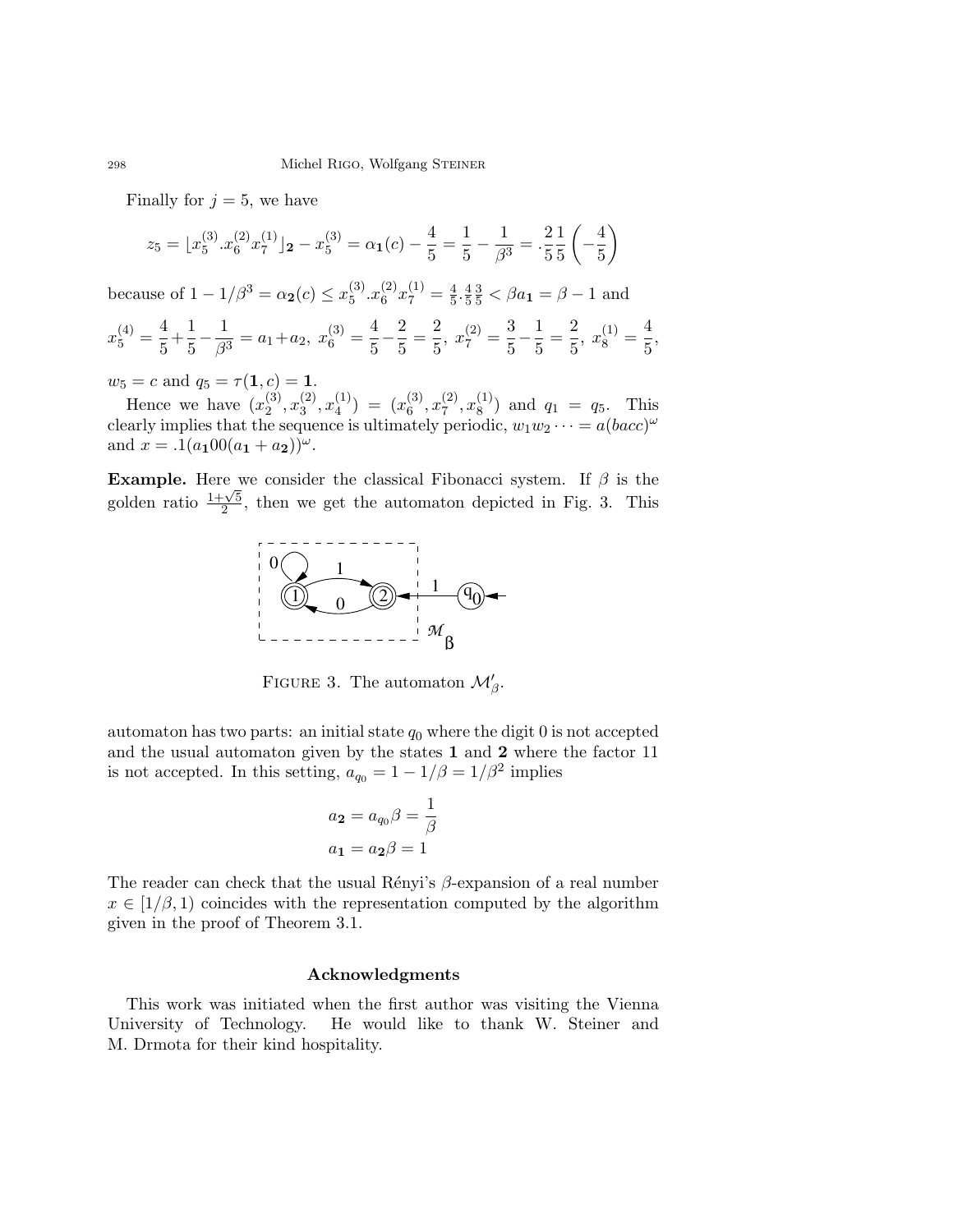Finally for  $j = 5$ , we have

$$
z_5 = \lfloor x_5^{(3)} \cdot x_6^{(2)} \cdot x_7^{(1)} \rfloor_2 - x_5^{(3)} = \alpha_1(c) - \frac{4}{5} = \frac{1}{5} - \frac{1}{\beta^3} = \frac{2}{5} \cdot \frac{1}{5} \left( -\frac{4}{5} \right)
$$

because of  $1 - 1/\beta^3 = \alpha_2(c) \le x_5^{(3)}$  $_{5}^{(3)}.x_{6}^{(2)}$  $\binom{2}{6}x_7^{(1)}=\frac{4}{5}$  $\frac{4}{5} \cdot \frac{4}{5}$ 5  $\frac{3}{5} < \beta a_1 = \beta - 1$  and

$$
x_5^{(4)} = \frac{4}{5} + \frac{1}{5} - \frac{1}{\beta^3} = a_1 + a_2, \ x_6^{(3)} = \frac{4}{5} - \frac{2}{5} = \frac{2}{5}, \ x_7^{(2)} = \frac{3}{5} - \frac{1}{5} = \frac{2}{5}, \ x_8^{(1)} = \frac{4}{5},
$$

 $w_5 = c$  and  $q_5 = \tau(1, c) = 1$ .

Hence we have  $(x_2^{(3)})$  $\binom{3}{2}, x_3^{(2)}$  $\binom{2}{3}, x_4^{(1)}$  $\binom{1}{4}$  =  $\binom{1}{6}$  $\binom{3}{6}, x_7^{(2)}$  $\binom{2}{7}, x_8^{(1)}$  $\binom{1}{8}$  and  $q_1 = q_5$ . This clearly implies that the sequence is ultimately periodic,  $w_1w_2\cdots = a(bacc)^\omega$ and  $x = .1(a_100(a_1 + a_2))^{\omega}$ .

**Example.** Here we consider the classical Fibonacci system. If  $\beta$  is the **Example:** Let  $\frac{1+\sqrt{5}}{2}$  $\frac{2}{2}$ , then we get the automaton depicted in Fig. 3. This



FIGURE 3. The automaton  $\mathcal{M}'_{\beta}$ .

automaton has two parts: an initial state  $q_0$  where the digit 0 is not accepted and the usual automaton given by the states 1 and 2 where the factor 11 is not accepted. In this setting,  $a_{q_0} = 1 - 1/\beta = 1/\beta^2$  implies

$$
a_2 = a_{q_0}\beta = \frac{1}{\beta}
$$

$$
a_1 = a_2\beta = 1
$$

The reader can check that the usual Rényi's  $\beta$ -expansion of a real number  $x \in [1/\beta, 1)$  coincides with the representation computed by the algorithm given in the proof of Theorem 3.1.

# Acknowledgments

This work was initiated when the first author was visiting the Vienna University of Technology. He would like to thank W. Steiner and M. Drmota for their kind hospitality.